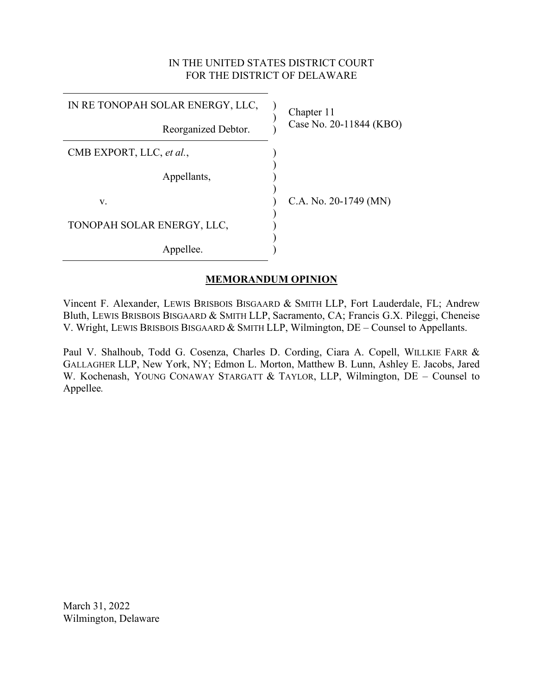# IN THE UNITED STATES DISTRICT COURT FOR THE DISTRICT OF DELAWARE

| IN RE TONOPAH SOLAR ENERGY, LLC, | Chapter 11<br>Case No. 20-11844 (KBO) |
|----------------------------------|---------------------------------------|
| Reorganized Debtor.              |                                       |
| CMB EXPORT, LLC, et al.,         |                                       |
| Appellants,                      |                                       |
| V.                               | C.A. No. $20-1749$ (MN)               |
| TONOPAH SOLAR ENERGY, LLC,       |                                       |
| Appellee.                        |                                       |

## **MEMORANDUM OPINION**

Vincent F. Alexander, LEWIS BRISBOIS BISGAARD & SMITH LLP, Fort Lauderdale, FL; Andrew Bluth, LEWIS BRISBOIS BISGAARD & SMITH LLP, Sacramento, CA; Francis G.X. Pileggi, Cheneise V. Wright, LEWIS BRISBOIS BISGAARD & SMITH LLP, Wilmington, DE – Counsel to Appellants.

Paul V. Shalhoub, Todd G. Cosenza, Charles D. Cording, Ciara A. Copell, WILLKIE FARR & GALLAGHER LLP, New York, NY; Edmon L. Morton, Matthew B. Lunn, Ashley E. Jacobs, Jared W. Kochenash, YOUNG CONAWAY STARGATT & TAYLOR, LLP, Wilmington, DE – Counsel to Appellee*.*

March 31, 2022 Wilmington, Delaware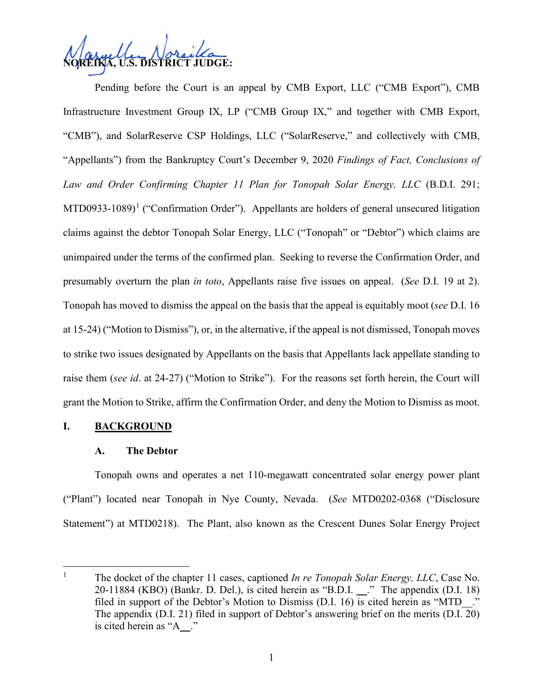

Pending before the Court is an appeal by CMB Export, LLC ("CMB Export"), CMB Infrastructure Investment Group IX, LP ("CMB Group IX," and together with CMB Export, "CMB"), and SolarReserve CSP Holdings, LLC ("SolarReserve," and collectively with CMB, "Appellants") from the Bankruptcy Court's December 9, 2020 *Findings of Fact, Conclusions of Law and Order Confirming Chapter 11 Plan for Tonopah Solar Energy, LLC* (B.D.I. 291; MTD0933-[1](#page-1-0)089)<sup>1</sup> ("Confirmation Order"). Appellants are holders of general unsecured litigation claims against the debtor Tonopah Solar Energy, LLC ("Tonopah" or "Debtor") which claims are unimpaired under the terms of the confirmed plan. Seeking to reverse the Confirmation Order, and presumably overturn the plan *in toto*, Appellants raise five issues on appeal. (*See* D.I. 19 at 2). Tonopah has moved to dismiss the appeal on the basis that the appeal is equitably moot (*see* D.I. 16 at 15-24) ("Motion to Dismiss"), or, in the alternative, if the appeal is not dismissed, Tonopah moves to strike two issues designated by Appellants on the basis that Appellants lack appellate standing to raise them (*see id*. at 24-27) ("Motion to Strike"). For the reasons set forth herein, the Court will grant the Motion to Strike, affirm the Confirmation Order, and deny the Motion to Dismiss as moot.

### **I. BACKGROUND**

#### **A. The Debtor**

Tonopah owns and operates a net 110-megawatt concentrated solar energy power plant ("Plant") located near Tonopah in Nye County, Nevada. (*See* MTD0202-0368 ("Disclosure Statement") at MTD0218). The Plant, also known as the Crescent Dunes Solar Energy Project

<span id="page-1-0"></span><sup>&</sup>lt;sup>1</sup> The docket of the chapter 11 cases, captioned *In re Tonopah Solar Energy, LLC*, Case No. 20-11884 (KBO) (Bankr. D. Del.), is cited herein as "B.D.I. ." The appendix (D.I. 18) filed in support of the Debtor's Motion to Dismiss (D.I. 16) is cited herein as "MTD\_\_." The appendix (D.I. 21) filed in support of Debtor's answering brief on the merits (D.I. 20) is cited herein as "A\_\_."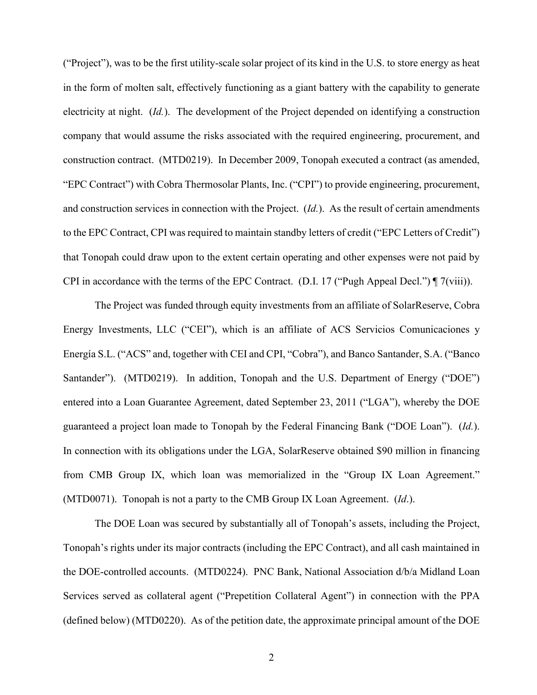("Project"), was to be the first utility-scale solar project of its kind in the U.S. to store energy as heat in the form of molten salt, effectively functioning as a giant battery with the capability to generate electricity at night. (*Id.*). The development of the Project depended on identifying a construction company that would assume the risks associated with the required engineering, procurement, and construction contract. (MTD0219). In December 2009, Tonopah executed a contract (as amended, "EPC Contract") with Cobra Thermosolar Plants, Inc. ("CPI") to provide engineering, procurement, and construction services in connection with the Project. (*Id.*). As the result of certain amendments to the EPC Contract, CPI was required to maintain standby letters of credit ("EPC Letters of Credit") that Tonopah could draw upon to the extent certain operating and other expenses were not paid by CPI in accordance with the terms of the EPC Contract. (D.I. 17 ("Pugh Appeal Decl.") ¶ 7(viii)).

The Project was funded through equity investments from an affiliate of SolarReserve, Cobra Energy Investments, LLC ("CEI"), which is an affiliate of ACS Servicios Comunicaciones y Energía S.L. ("ACS" and, together with CEI and CPI, "Cobra"), and Banco Santander, S.A. ("Banco Santander"). (MTD0219). In addition, Tonopah and the U.S. Department of Energy ("DOE") entered into a Loan Guarantee Agreement, dated September 23, 2011 ("LGA"), whereby the DOE guaranteed a project loan made to Tonopah by the Federal Financing Bank ("DOE Loan"). (*Id.*). In connection with its obligations under the LGA, SolarReserve obtained \$90 million in financing from CMB Group IX, which loan was memorialized in the "Group IX Loan Agreement." (MTD0071). Tonopah is not a party to the CMB Group IX Loan Agreement. (*Id*.).

The DOE Loan was secured by substantially all of Tonopah's assets, including the Project, Tonopah's rights under its major contracts (including the EPC Contract), and all cash maintained in the DOE-controlled accounts. (MTD0224). PNC Bank, National Association d/b/a Midland Loan Services served as collateral agent ("Prepetition Collateral Agent") in connection with the PPA (defined below) (MTD0220). As of the petition date, the approximate principal amount of the DOE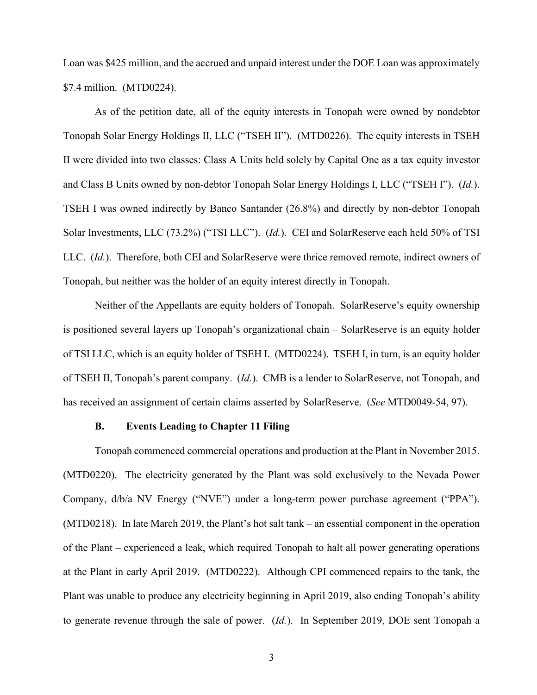Loan was \$425 million, and the accrued and unpaid interest under the DOE Loan was approximately \$7.4 million. (MTD0224).

As of the petition date, all of the equity interests in Tonopah were owned by nondebtor Tonopah Solar Energy Holdings II, LLC ("TSEH II"). (MTD0226). The equity interests in TSEH II were divided into two classes: Class A Units held solely by Capital One as a tax equity investor and Class B Units owned by non-debtor Tonopah Solar Energy Holdings I, LLC ("TSEH I"). (*Id.*). TSEH I was owned indirectly by Banco Santander (26.8%) and directly by non-debtor Tonopah Solar Investments, LLC (73.2%) ("TSI LLC"). (*Id.*). CEI and SolarReserve each held 50% of TSI LLC. (*Id.*). Therefore, both CEI and SolarReserve were thrice removed remote, indirect owners of Tonopah, but neither was the holder of an equity interest directly in Tonopah.

Neither of the Appellants are equity holders of Tonopah. SolarReserve's equity ownership is positioned several layers up Tonopah's organizational chain – SolarReserve is an equity holder of TSI LLC, which is an equity holder of TSEH I. (MTD0224). TSEH I, in turn, is an equity holder of TSEH II, Tonopah's parent company. (*Id.*). CMB is a lender to SolarReserve, not Tonopah, and has received an assignment of certain claims asserted by SolarReserve. (*See* MTD0049-54, 97).

#### **B. Events Leading to Chapter 11 Filing**

Tonopah commenced commercial operations and production at the Plant in November 2015. (MTD0220). The electricity generated by the Plant was sold exclusively to the Nevada Power Company, d/b/a NV Energy ("NVE") under a long-term power purchase agreement ("PPA"). (MTD0218). In late March 2019, the Plant's hot salt tank – an essential component in the operation of the Plant – experienced a leak, which required Tonopah to halt all power generating operations at the Plant in early April 2019. (MTD0222). Although CPI commenced repairs to the tank, the Plant was unable to produce any electricity beginning in April 2019, also ending Tonopah's ability to generate revenue through the sale of power. (*Id.*). In September 2019, DOE sent Tonopah a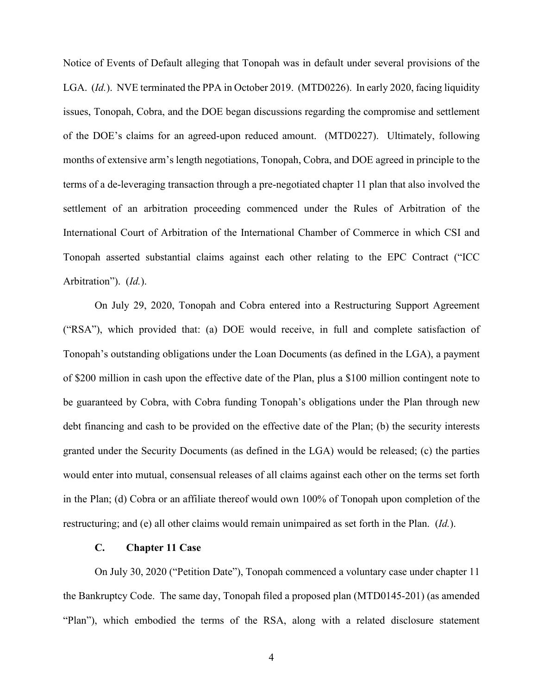Notice of Events of Default alleging that Tonopah was in default under several provisions of the LGA. (*Id.*). NVE terminated the PPA in October 2019. (MTD0226). In early 2020, facing liquidity issues, Tonopah, Cobra, and the DOE began discussions regarding the compromise and settlement of the DOE's claims for an agreed-upon reduced amount. (MTD0227). Ultimately, following months of extensive arm's length negotiations, Tonopah, Cobra, and DOE agreed in principle to the terms of a de-leveraging transaction through a pre-negotiated chapter 11 plan that also involved the settlement of an arbitration proceeding commenced under the Rules of Arbitration of the International Court of Arbitration of the International Chamber of Commerce in which CSI and Tonopah asserted substantial claims against each other relating to the EPC Contract ("ICC Arbitration"). (*Id.*).

On July 29, 2020, Tonopah and Cobra entered into a Restructuring Support Agreement ("RSA"), which provided that: (a) DOE would receive, in full and complete satisfaction of Tonopah's outstanding obligations under the Loan Documents (as defined in the LGA), a payment of \$200 million in cash upon the effective date of the Plan, plus a \$100 million contingent note to be guaranteed by Cobra, with Cobra funding Tonopah's obligations under the Plan through new debt financing and cash to be provided on the effective date of the Plan; (b) the security interests granted under the Security Documents (as defined in the LGA) would be released; (c) the parties would enter into mutual, consensual releases of all claims against each other on the terms set forth in the Plan; (d) Cobra or an affiliate thereof would own 100% of Tonopah upon completion of the restructuring; and (e) all other claims would remain unimpaired as set forth in the Plan. (*Id.*).

### **C. Chapter 11 Case**

On July 30, 2020 ("Petition Date"), Tonopah commenced a voluntary case under chapter 11 the Bankruptcy Code. The same day, Tonopah filed a proposed plan (MTD0145-201) (as amended "Plan"), which embodied the terms of the RSA, along with a related disclosure statement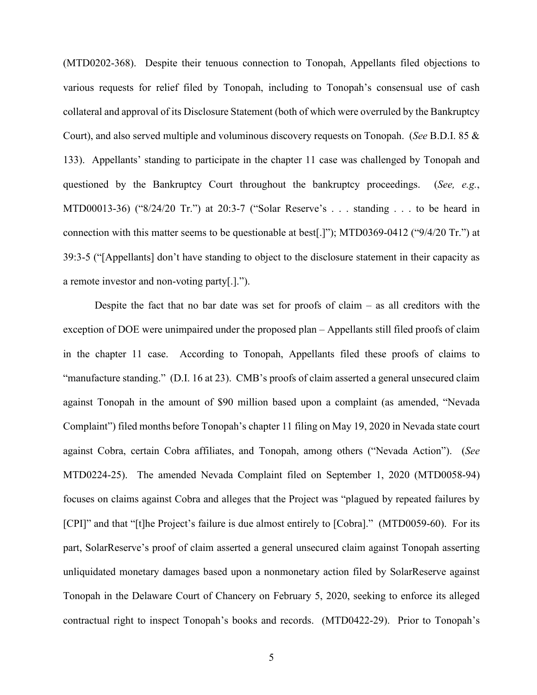(MTD0202-368). Despite their tenuous connection to Tonopah, Appellants filed objections to various requests for relief filed by Tonopah, including to Tonopah's consensual use of cash collateral and approval of its Disclosure Statement (both of which were overruled by the Bankruptcy Court), and also served multiple and voluminous discovery requests on Tonopah. (*See* B.D.I. 85 & 133). Appellants' standing to participate in the chapter 11 case was challenged by Tonopah and questioned by the Bankruptcy Court throughout the bankruptcy proceedings. (*See, e.g.*, MTD00013-36) ("8/24/20 Tr.") at 20:3-7 ("Solar Reserve's . . . standing . . . to be heard in connection with this matter seems to be questionable at best[.]"); MTD0369-0412 ("9/4/20 Tr.") at 39:3-5 ("[Appellants] don't have standing to object to the disclosure statement in their capacity as a remote investor and non-voting party[.].").

Despite the fact that no bar date was set for proofs of claim – as all creditors with the exception of DOE were unimpaired under the proposed plan – Appellants still filed proofs of claim in the chapter 11 case. According to Tonopah, Appellants filed these proofs of claims to "manufacture standing." (D.I. 16 at 23). CMB's proofs of claim asserted a general unsecured claim against Tonopah in the amount of \$90 million based upon a complaint (as amended, "Nevada Complaint") filed months before Tonopah's chapter 11 filing on May 19, 2020 in Nevada state court against Cobra, certain Cobra affiliates, and Tonopah, among others ("Nevada Action"). (*See*  MTD0224-25). The amended Nevada Complaint filed on September 1, 2020 (MTD0058-94) focuses on claims against Cobra and alleges that the Project was "plagued by repeated failures by [CPI]" and that "[t]he Project's failure is due almost entirely to [Cobra]." (MTD0059-60). For its part, SolarReserve's proof of claim asserted a general unsecured claim against Tonopah asserting unliquidated monetary damages based upon a nonmonetary action filed by SolarReserve against Tonopah in the Delaware Court of Chancery on February 5, 2020, seeking to enforce its alleged contractual right to inspect Tonopah's books and records. (MTD0422-29). Prior to Tonopah's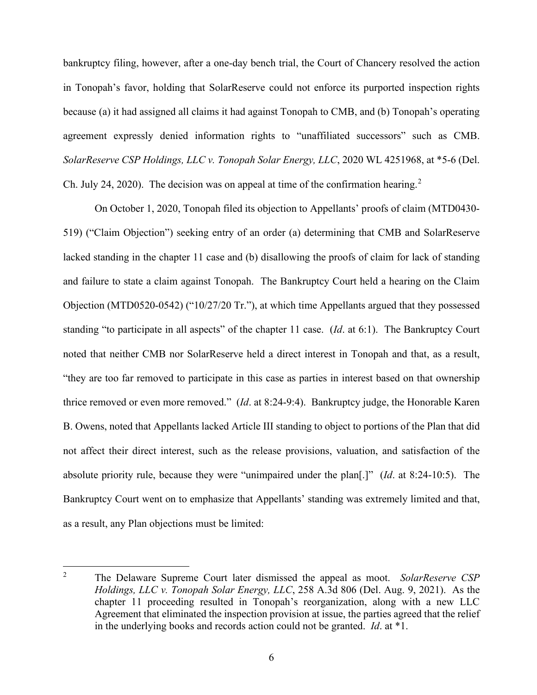bankruptcy filing, however, after a one-day bench trial, the Court of Chancery resolved the action in Tonopah's favor, holding that SolarReserve could not enforce its purported inspection rights because (a) it had assigned all claims it had against Tonopah to CMB, and (b) Tonopah's operating agreement expressly denied information rights to "unaffiliated successors" such as CMB. *SolarReserve CSP Holdings, LLC v. Tonopah Solar Energy, LLC*, 2020 WL 4251968, at \*5-6 (Del. Ch. July [2](#page-6-0)4, 2020). The decision was on appeal at time of the confirmation hearing.<sup>2</sup>

On October 1, 2020, Tonopah filed its objection to Appellants' proofs of claim (MTD0430- 519) ("Claim Objection") seeking entry of an order (a) determining that CMB and SolarReserve lacked standing in the chapter 11 case and (b) disallowing the proofs of claim for lack of standing and failure to state a claim against Tonopah. The Bankruptcy Court held a hearing on the Claim Objection (MTD0520-0542) ("10/27/20 Tr."), at which time Appellants argued that they possessed standing "to participate in all aspects" of the chapter 11 case. (*Id*. at 6:1). The Bankruptcy Court noted that neither CMB nor SolarReserve held a direct interest in Tonopah and that, as a result, "they are too far removed to participate in this case as parties in interest based on that ownership thrice removed or even more removed." (*Id*. at 8:24-9:4). Bankruptcy judge, the Honorable Karen B. Owens, noted that Appellants lacked Article III standing to object to portions of the Plan that did not affect their direct interest, such as the release provisions, valuation, and satisfaction of the absolute priority rule, because they were "unimpaired under the plan[.]" (*Id*. at 8:24-10:5). The Bankruptcy Court went on to emphasize that Appellants' standing was extremely limited and that, as a result, any Plan objections must be limited:

<span id="page-6-0"></span><sup>2</sup> The Delaware Supreme Court later dismissed the appeal as moot. *SolarReserve CSP Holdings, LLC v. Tonopah Solar Energy, LLC*, 258 A.3d 806 (Del. Aug. 9, 2021). As the chapter 11 proceeding resulted in Tonopah's reorganization, along with a new LLC Agreement that eliminated the inspection provision at issue, the parties agreed that the relief in the underlying books and records action could not be granted. *Id*. at \*1.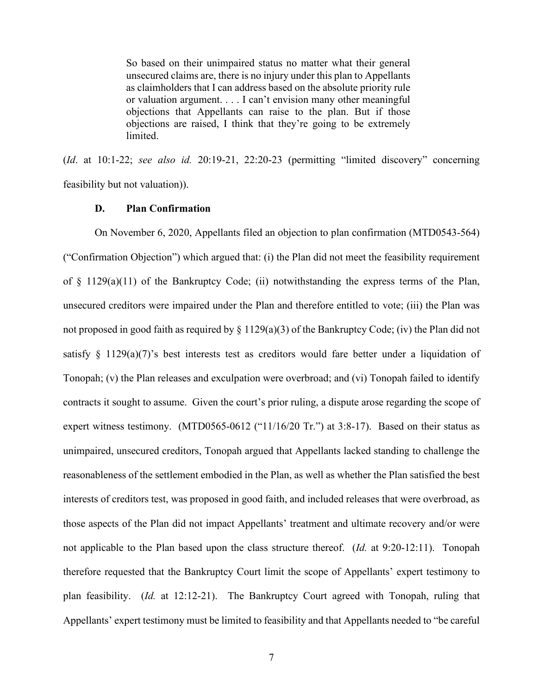So based on their unimpaired status no matter what their general unsecured claims are, there is no injury under this plan to Appellants as claimholders that I can address based on the absolute priority rule or valuation argument. . . . I can't envision many other meaningful objections that Appellants can raise to the plan. But if those objections are raised, I think that they're going to be extremely limited.

(*Id*. at 10:1-22; *see also id.* 20:19-21, 22:20-23 (permitting "limited discovery" concerning feasibility but not valuation)).

### **D. Plan Confirmation**

On November 6, 2020, Appellants filed an objection to plan confirmation (MTD0543-564) ("Confirmation Objection") which argued that: (i) the Plan did not meet the feasibility requirement of  $\S$  1129(a)(11) of the Bankruptcy Code; (ii) notwithstanding the express terms of the Plan, unsecured creditors were impaired under the Plan and therefore entitled to vote; (iii) the Plan was not proposed in good faith as required by § 1129(a)(3) of the Bankruptcy Code; (iv) the Plan did not satisfy  $\S$  1129(a)(7)'s best interests test as creditors would fare better under a liquidation of Tonopah; (v) the Plan releases and exculpation were overbroad; and (vi) Tonopah failed to identify contracts it sought to assume. Given the court's prior ruling, a dispute arose regarding the scope of expert witness testimony. (MTD0565-0612 ("11/16/20 Tr.") at 3:8-17). Based on their status as unimpaired, unsecured creditors, Tonopah argued that Appellants lacked standing to challenge the reasonableness of the settlement embodied in the Plan, as well as whether the Plan satisfied the best interests of creditors test, was proposed in good faith, and included releases that were overbroad, as those aspects of the Plan did not impact Appellants' treatment and ultimate recovery and/or were not applicable to the Plan based upon the class structure thereof. (*Id.* at 9:20-12:11). Tonopah therefore requested that the Bankruptcy Court limit the scope of Appellants' expert testimony to plan feasibility. (*Id.* at 12:12-21). The Bankruptcy Court agreed with Tonopah, ruling that Appellants' expert testimony must be limited to feasibility and that Appellants needed to "be careful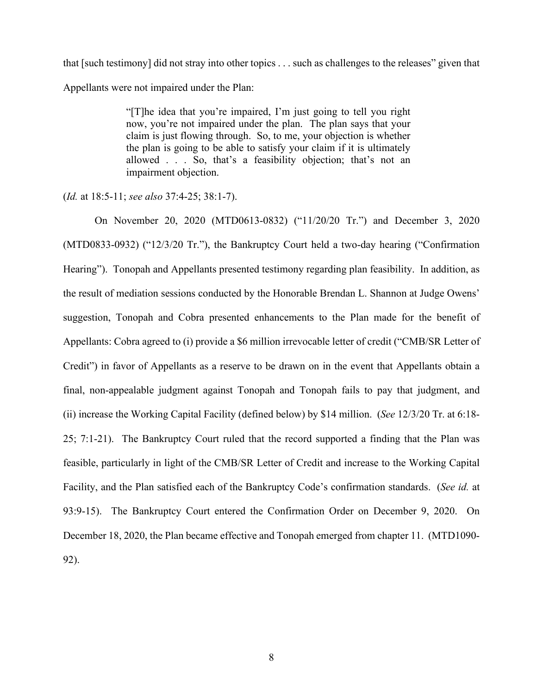that [such testimony] did not stray into other topics . . . such as challenges to the releases" given that Appellants were not impaired under the Plan:

> "[T]he idea that you're impaired, I'm just going to tell you right now, you're not impaired under the plan. The plan says that your claim is just flowing through. So, to me, your objection is whether the plan is going to be able to satisfy your claim if it is ultimately allowed . . . So, that's a feasibility objection; that's not an impairment objection.

(*Id.* at 18:5-11; *see also* 37:4-25; 38:1-7).

On November 20, 2020 (MTD0613-0832) ("11/20/20 Tr.") and December 3, 2020 (MTD0833-0932) ("12/3/20 Tr."), the Bankruptcy Court held a two-day hearing ("Confirmation Hearing"). Tonopah and Appellants presented testimony regarding plan feasibility. In addition, as the result of mediation sessions conducted by the Honorable Brendan L. Shannon at Judge Owens' suggestion, Tonopah and Cobra presented enhancements to the Plan made for the benefit of Appellants: Cobra agreed to (i) provide a \$6 million irrevocable letter of credit ("CMB/SR Letter of Credit") in favor of Appellants as a reserve to be drawn on in the event that Appellants obtain a final, non-appealable judgment against Tonopah and Tonopah fails to pay that judgment, and (ii) increase the Working Capital Facility (defined below) by \$14 million. (*See* 12/3/20 Tr. at 6:18- 25; 7:1-21). The Bankruptcy Court ruled that the record supported a finding that the Plan was feasible, particularly in light of the CMB/SR Letter of Credit and increase to the Working Capital Facility, and the Plan satisfied each of the Bankruptcy Code's confirmation standards. (*See id.* at 93:9-15). The Bankruptcy Court entered the Confirmation Order on December 9, 2020. On December 18, 2020, the Plan became effective and Tonopah emerged from chapter 11. (MTD1090- 92).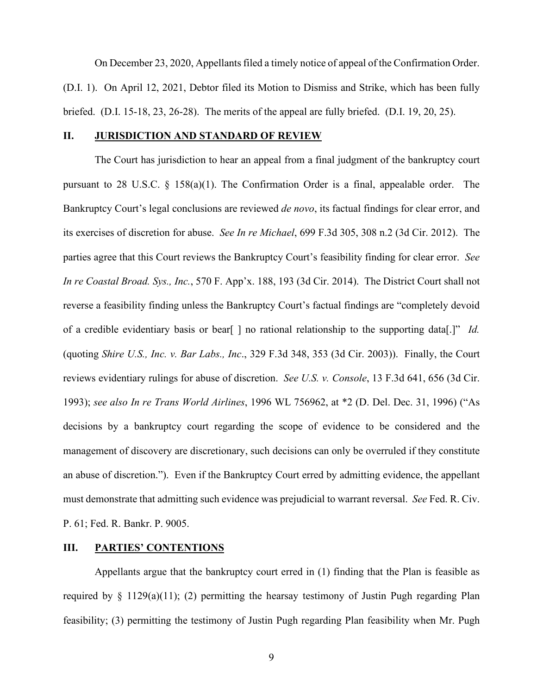On December 23, 2020, Appellants filed a timely notice of appeal of the Confirmation Order. (D.I. 1). On April 12, 2021, Debtor filed its Motion to Dismiss and Strike, which has been fully briefed. (D.I. 15-18, 23, 26-28). The merits of the appeal are fully briefed. (D.I. 19, 20, 25).

### **II. JURISDICTION AND STANDARD OF REVIEW**

The Court has jurisdiction to hear an appeal from a final judgment of the bankruptcy court pursuant to 28 U.S.C. § 158(a)(1). The Confirmation Order is a final, appealable order. The Bankruptcy Court's legal conclusions are reviewed *de novo*, its factual findings for clear error, and its exercises of discretion for abuse. *See In re Michael*, 699 F.3d 305, 308 n.2 (3d Cir. 2012). The parties agree that this Court reviews the Bankruptcy Court's feasibility finding for clear error. *See In re Coastal Broad. Sys., Inc.*, 570 F. App'x. 188, 193 (3d Cir. 2014). The District Court shall not reverse a feasibility finding unless the Bankruptcy Court's factual findings are "completely devoid of a credible evidentiary basis or bear[ ] no rational relationship to the supporting data[.]" *Id.*  (quoting *Shire U.S., Inc. v. Bar Labs., Inc*., 329 F.3d 348, 353 (3d Cir. 2003)). Finally, the Court reviews evidentiary rulings for abuse of discretion. *See U.S. v. Console*, 13 F.3d 641, 656 (3d Cir. 1993); *see also In re Trans World Airlines*, 1996 WL 756962, at \*2 (D. Del. Dec. 31, 1996) ("As decisions by a bankruptcy court regarding the scope of evidence to be considered and the management of discovery are discretionary, such decisions can only be overruled if they constitute an abuse of discretion."). Even if the Bankruptcy Court erred by admitting evidence, the appellant must demonstrate that admitting such evidence was prejudicial to warrant reversal. *See* Fed. R. Civ. P. 61; Fed. R. Bankr. P. 9005.

#### **III. PARTIES' CONTENTIONS**

Appellants argue that the bankruptcy court erred in (1) finding that the Plan is feasible as required by  $\S$  1129(a)(11); (2) permitting the hearsay testimony of Justin Pugh regarding Plan feasibility; (3) permitting the testimony of Justin Pugh regarding Plan feasibility when Mr. Pugh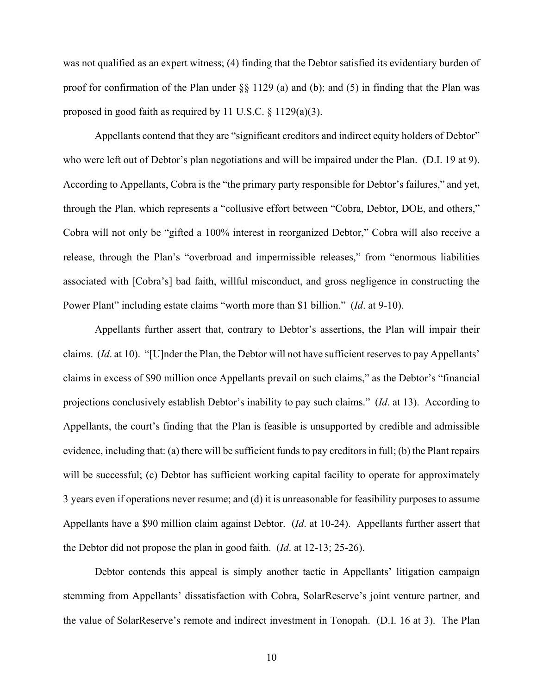was not qualified as an expert witness; (4) finding that the Debtor satisfied its evidentiary burden of proof for confirmation of the Plan under §§ 1129 (a) and (b); and (5) in finding that the Plan was proposed in good faith as required by 11 U.S.C. § 1129(a)(3).

Appellants contend that they are "significant creditors and indirect equity holders of Debtor" who were left out of Debtor's plan negotiations and will be impaired under the Plan. (D.I. 19 at 9). According to Appellants, Cobra is the "the primary party responsible for Debtor's failures," and yet, through the Plan, which represents a "collusive effort between "Cobra, Debtor, DOE, and others," Cobra will not only be "gifted a 100% interest in reorganized Debtor," Cobra will also receive a release, through the Plan's "overbroad and impermissible releases," from "enormous liabilities associated with [Cobra's] bad faith, willful misconduct, and gross negligence in constructing the Power Plant" including estate claims "worth more than \$1 billion." (*Id*. at 9-10).

Appellants further assert that, contrary to Debtor's assertions, the Plan will impair their claims. (*Id*. at 10). "[U]nder the Plan, the Debtor will not have sufficient reserves to pay Appellants' claims in excess of \$90 million once Appellants prevail on such claims," as the Debtor's "financial projections conclusively establish Debtor's inability to pay such claims." (*Id*. at 13). According to Appellants, the court's finding that the Plan is feasible is unsupported by credible and admissible evidence, including that: (a) there will be sufficient funds to pay creditors in full; (b) the Plant repairs will be successful; (c) Debtor has sufficient working capital facility to operate for approximately 3 years even if operations never resume; and (d) it is unreasonable for feasibility purposes to assume Appellants have a \$90 million claim against Debtor. (*Id*. at 10-24). Appellants further assert that the Debtor did not propose the plan in good faith. (*Id*. at 12-13; 25-26).

Debtor contends this appeal is simply another tactic in Appellants' litigation campaign stemming from Appellants' dissatisfaction with Cobra, SolarReserve's joint venture partner, and the value of SolarReserve's remote and indirect investment in Tonopah. (D.I. 16 at 3). The Plan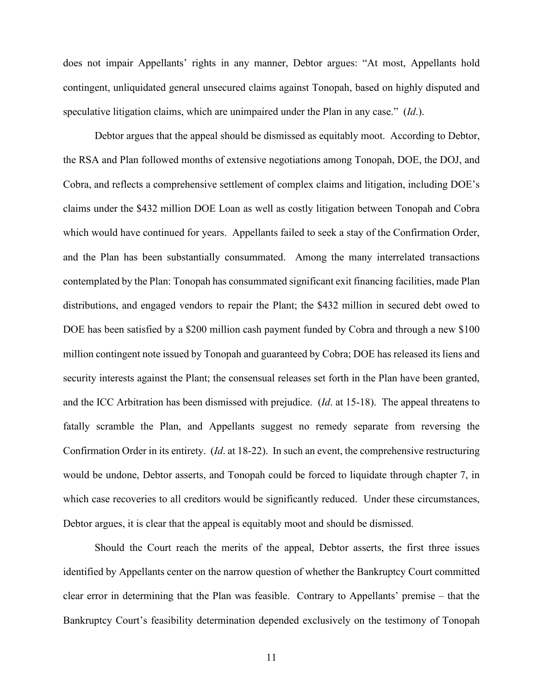does not impair Appellants' rights in any manner, Debtor argues: "At most, Appellants hold contingent, unliquidated general unsecured claims against Tonopah, based on highly disputed and speculative litigation claims, which are unimpaired under the Plan in any case." (*Id*.).

Debtor argues that the appeal should be dismissed as equitably moot. According to Debtor, the RSA and Plan followed months of extensive negotiations among Tonopah, DOE, the DOJ, and Cobra, and reflects a comprehensive settlement of complex claims and litigation, including DOE's claims under the \$432 million DOE Loan as well as costly litigation between Tonopah and Cobra which would have continued for years. Appellants failed to seek a stay of the Confirmation Order, and the Plan has been substantially consummated. Among the many interrelated transactions contemplated by the Plan: Tonopah has consummated significant exit financing facilities, made Plan distributions, and engaged vendors to repair the Plant; the \$432 million in secured debt owed to DOE has been satisfied by a \$200 million cash payment funded by Cobra and through a new \$100 million contingent note issued by Tonopah and guaranteed by Cobra; DOE has released its liens and security interests against the Plant; the consensual releases set forth in the Plan have been granted, and the ICC Arbitration has been dismissed with prejudice. (*Id*. at 15-18). The appeal threatens to fatally scramble the Plan, and Appellants suggest no remedy separate from reversing the Confirmation Order in its entirety. (*Id*. at 18-22). In such an event, the comprehensive restructuring would be undone, Debtor asserts, and Tonopah could be forced to liquidate through chapter 7, in which case recoveries to all creditors would be significantly reduced. Under these circumstances, Debtor argues, it is clear that the appeal is equitably moot and should be dismissed.

Should the Court reach the merits of the appeal, Debtor asserts, the first three issues identified by Appellants center on the narrow question of whether the Bankruptcy Court committed clear error in determining that the Plan was feasible. Contrary to Appellants' premise – that the Bankruptcy Court's feasibility determination depended exclusively on the testimony of Tonopah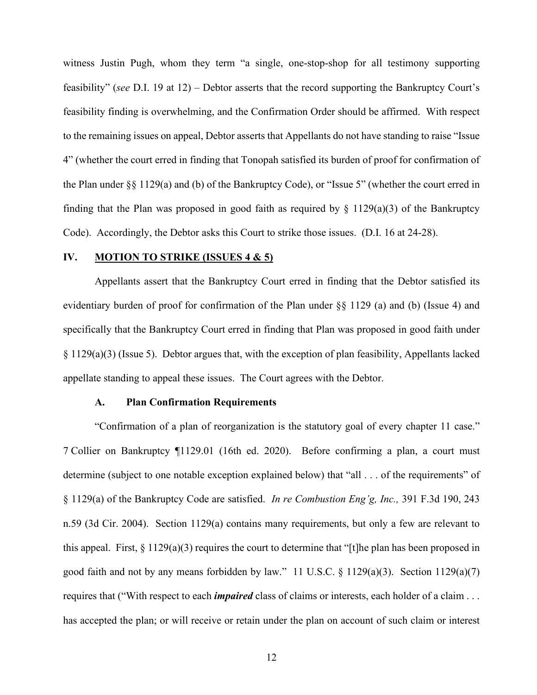witness Justin Pugh, whom they term "a single, one-stop-shop for all testimony supporting feasibility" (*see* D.I. 19 at 12) – Debtor asserts that the record supporting the Bankruptcy Court's feasibility finding is overwhelming, and the Confirmation Order should be affirmed. With respect to the remaining issues on appeal, Debtor asserts that Appellants do not have standing to raise "Issue 4" (whether the court erred in finding that Tonopah satisfied its burden of proof for confirmation of the Plan under §§ 1129(a) and (b) of the Bankruptcy Code), or "Issue 5" (whether the court erred in finding that the Plan was proposed in good faith as required by  $\S$  1129(a)(3) of the Bankruptcy Code). Accordingly, the Debtor asks this Court to strike those issues. (D.I. 16 at 24-28).

## **IV. MOTION TO STRIKE (ISSUES 4 & 5)**

Appellants assert that the Bankruptcy Court erred in finding that the Debtor satisfied its evidentiary burden of proof for confirmation of the Plan under §§ 1129 (a) and (b) (Issue 4) and specifically that the Bankruptcy Court erred in finding that Plan was proposed in good faith under § 1129(a)(3) (Issue 5). Debtor argues that, with the exception of plan feasibility, Appellants lacked appellate standing to appeal these issues. The Court agrees with the Debtor.

#### **A. Plan Confirmation Requirements**

"Confirmation of a plan of reorganization is the statutory goal of every chapter 11 case." 7 Collier on Bankruptcy ¶1129.01 (16th ed. 2020). Before confirming a plan, a court must determine (subject to one notable exception explained below) that "all . . . of the requirements" of § 1129(a) of the Bankruptcy Code are satisfied. *In re Combustion Eng'g, Inc.,* 391 F.3d 190, 243 n.59 (3d Cir. 2004). Section 1129(a) contains many requirements, but only a few are relevant to this appeal. First, § 1129(a)(3) requires the court to determine that "[t]he plan has been proposed in good faith and not by any means forbidden by law." 11 U.S.C. § 1129(a)(3). Section 1129(a)(7) requires that ("With respect to each *impaired* class of claims or interests, each holder of a claim . . . has accepted the plan; or will receive or retain under the plan on account of such claim or interest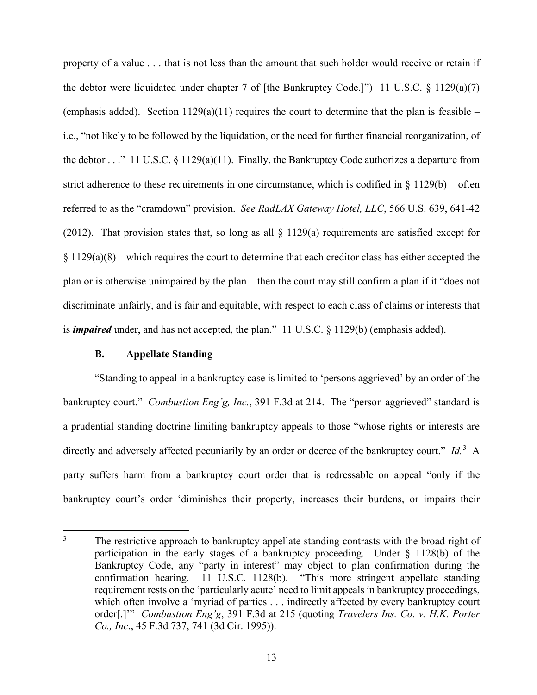property of a value . . . that is not less than the amount that such holder would receive or retain if the debtor were liquidated under chapter 7 of [the Bankruptcy Code.]") 11 U.S.C.  $\S$  1129(a)(7) (emphasis added). Section  $1129(a)(11)$  requires the court to determine that the plan is feasible – i.e., "not likely to be followed by the liquidation, or the need for further financial reorganization, of the debtor  $\ldots$ " 11 U.S.C. § 1129(a)(11). Finally, the Bankruptcy Code authorizes a departure from strict adherence to these requirements in one circumstance, which is codified in  $\S 1129(b)$  – often referred to as the "cramdown" provision. *See RadLAX Gateway Hotel, LLC*, 566 U.S. 639, 641-42 (2012). That provision states that, so long as all  $\S$  1129(a) requirements are satisfied except for  $§ 1129(a)(8)$  – which requires the court to determine that each creditor class has either accepted the plan or is otherwise unimpaired by the plan – then the court may still confirm a plan if it "does not discriminate unfairly, and is fair and equitable, with respect to each class of claims or interests that is *impaired* under, and has not accepted, the plan." 11 U.S.C. § 1129(b) (emphasis added).

## **B. Appellate Standing**

"Standing to appeal in a bankruptcy case is limited to 'persons aggrieved' by an order of the bankruptcy court." *Combustion Eng'g, Inc.*, 391 F.3d at 214. The "person aggrieved" standard is a prudential standing doctrine limiting bankruptcy appeals to those "whose rights or interests are directly and adversely affected pecuniarily by an order or decree of the bankruptcy court." *Id.*<sup>[3](#page-13-0)</sup> A party suffers harm from a bankruptcy court order that is redressable on appeal "only if the bankruptcy court's order 'diminishes their property, increases their burdens, or impairs their

<span id="page-13-0"></span> $3\degree$  The restrictive approach to bankruptcy appellate standing contrasts with the broad right of participation in the early stages of a bankruptcy proceeding. Under § 1128(b) of the Bankruptcy Code, any "party in interest" may object to plan confirmation during the confirmation hearing. 11 U.S.C. 1128(b). "This more stringent appellate standing requirement rests on the 'particularly acute' need to limit appeals in bankruptcy proceedings, which often involve a 'myriad of parties . . . indirectly affected by every bankruptcy court order[.]'" *Combustion Eng'g*, 391 F.3d at 215 (quoting *Travelers Ins. Co. v. H.K. Porter Co., Inc*., 45 F.3d 737, 741 (3d Cir. 1995)).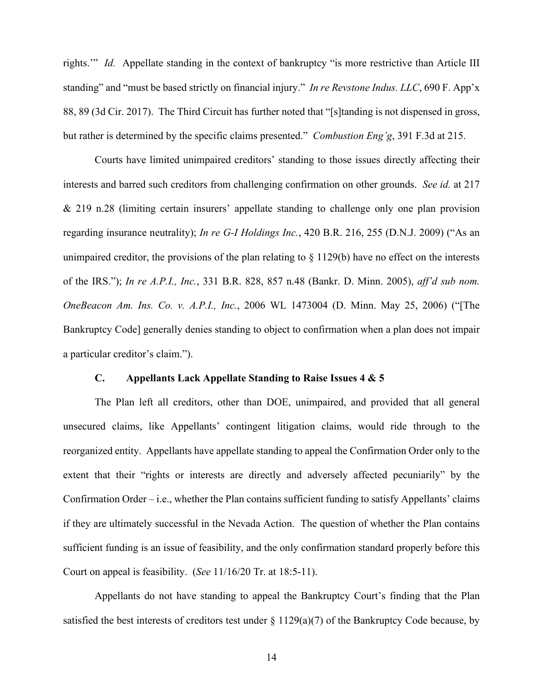rights.'" *Id.* Appellate standing in the context of bankruptcy "is more restrictive than Article III standing" and "must be based strictly on financial injury." *In re Revstone Indus. LLC*, 690 F. App'x 88, 89 (3d Cir. 2017). The Third Circuit has further noted that "[s]tanding is not dispensed in gross, but rather is determined by the specific claims presented." *Combustion Eng'g*, 391 F.3d at 215.

Courts have limited unimpaired creditors' standing to those issues directly affecting their interests and barred such creditors from challenging confirmation on other grounds. *See id.* at 217 & 219 n.28 (limiting certain insurers' appellate standing to challenge only one plan provision regarding insurance neutrality); *In re G-I Holdings Inc.*, 420 B.R. 216, 255 (D.N.J. 2009) ("As an unimpaired creditor, the provisions of the plan relating to § 1129(b) have no effect on the interests of the IRS."); *In re A.P.I., Inc.*, 331 B.R. 828, 857 n.48 (Bankr. D. Minn. 2005), *aff'd sub nom. OneBeacon Am. Ins. Co. v. A.P.I., Inc.*, 2006 WL 1473004 (D. Minn. May 25, 2006) ("[The Bankruptcy Code] generally denies standing to object to confirmation when a plan does not impair a particular creditor's claim.").

#### **C. Appellants Lack Appellate Standing to Raise Issues 4 & 5**

The Plan left all creditors, other than DOE, unimpaired, and provided that all general unsecured claims, like Appellants' contingent litigation claims, would ride through to the reorganized entity. Appellants have appellate standing to appeal the Confirmation Order only to the extent that their "rights or interests are directly and adversely affected pecuniarily" by the Confirmation Order – i.e., whether the Plan contains sufficient funding to satisfy Appellants' claims if they are ultimately successful in the Nevada Action. The question of whether the Plan contains sufficient funding is an issue of feasibility, and the only confirmation standard properly before this Court on appeal is feasibility. (*See* 11/16/20 Tr. at 18:5-11).

Appellants do not have standing to appeal the Bankruptcy Court's finding that the Plan satisfied the best interests of creditors test under  $\S 1129(a)(7)$  of the Bankruptcy Code because, by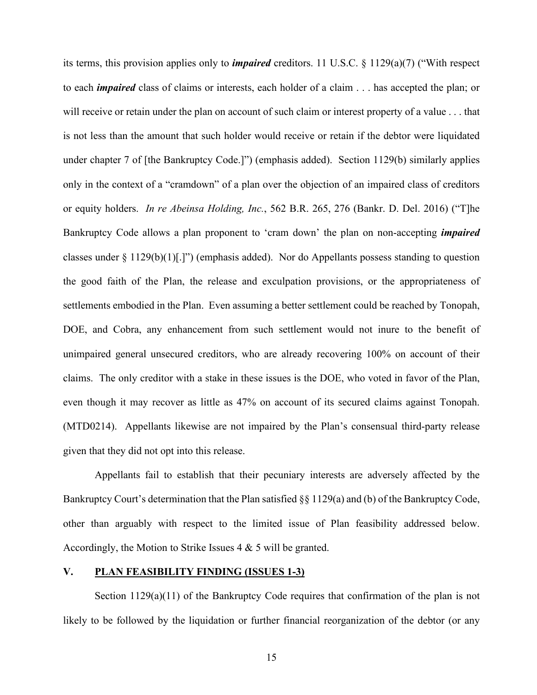its terms, this provision applies only to *impaired* creditors. 11 U.S.C. § 1129(a)(7) ("With respect to each *impaired* class of claims or interests, each holder of a claim . . . has accepted the plan; or will receive or retain under the plan on account of such claim or interest property of a value . . . that is not less than the amount that such holder would receive or retain if the debtor were liquidated under chapter 7 of [the Bankruptcy Code.]") (emphasis added). Section 1129(b) similarly applies only in the context of a "cramdown" of a plan over the objection of an impaired class of creditors or equity holders. *In re Abeinsa Holding, Inc.*, 562 B.R. 265, 276 (Bankr. D. Del. 2016) ("T]he Bankruptcy Code allows a plan proponent to 'cram down' the plan on non-accepting *impaired* classes under  $\S 1129(b)(1)[.]$ ") (emphasis added). Nor do Appellants possess standing to question the good faith of the Plan, the release and exculpation provisions, or the appropriateness of settlements embodied in the Plan. Even assuming a better settlement could be reached by Tonopah, DOE, and Cobra, any enhancement from such settlement would not inure to the benefit of unimpaired general unsecured creditors, who are already recovering 100% on account of their claims. The only creditor with a stake in these issues is the DOE, who voted in favor of the Plan, even though it may recover as little as 47% on account of its secured claims against Tonopah. (MTD0214). Appellants likewise are not impaired by the Plan's consensual third-party release given that they did not opt into this release.

Appellants fail to establish that their pecuniary interests are adversely affected by the Bankruptcy Court's determination that the Plan satisfied §§ 1129(a) and (b) of the Bankruptcy Code, other than arguably with respect to the limited issue of Plan feasibility addressed below. Accordingly, the Motion to Strike Issues 4 & 5 will be granted.

## **V. PLAN FEASIBILITY FINDING (ISSUES 1-3)**

Section 1129(a)(11) of the Bankruptcy Code requires that confirmation of the plan is not likely to be followed by the liquidation or further financial reorganization of the debtor (or any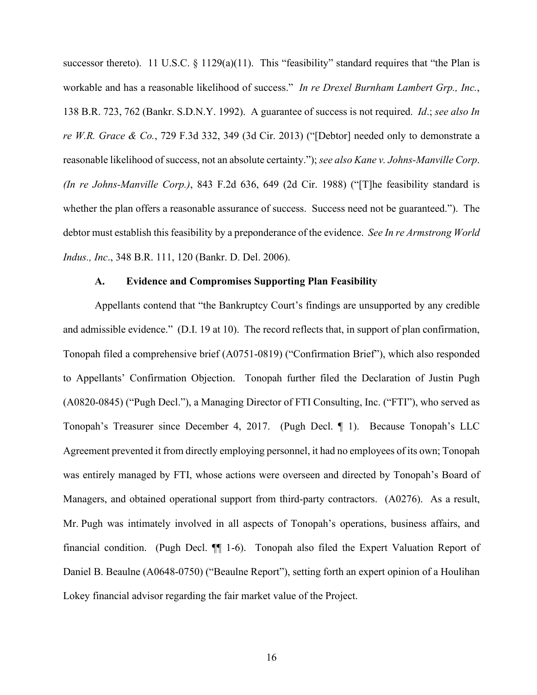successor thereto). 11 U.S.C. § 1129(a)(11). This "feasibility" standard requires that "the Plan is workable and has a reasonable likelihood of success." *In re Drexel Burnham Lambert Grp., Inc.*, 138 B.R. 723, 762 (Bankr. S.D.N.Y. 1992). A guarantee of success is not required. *Id*.; *see also In re W.R. Grace & Co.*, 729 F.3d 332, 349 (3d Cir. 2013) ("[Debtor] needed only to demonstrate a reasonable likelihood of success, not an absolute certainty."); *see also Kane v. Johns-Manville Corp*. *(In re Johns-Manville Corp.)*, 843 F.2d 636, 649 (2d Cir. 1988) ("[T]he feasibility standard is whether the plan offers a reasonable assurance of success. Success need not be guaranteed."). The debtor must establish this feasibility by a preponderance of the evidence. *See In re Armstrong World Indus., Inc*., 348 B.R. 111, 120 (Bankr. D. Del. 2006).

#### **A. Evidence and Compromises Supporting Plan Feasibility**

Appellants contend that "the Bankruptcy Court's findings are unsupported by any credible and admissible evidence." (D.I. 19 at 10). The record reflects that, in support of plan confirmation, Tonopah filed a comprehensive brief (A0751-0819) ("Confirmation Brief"), which also responded to Appellants' Confirmation Objection. Tonopah further filed the Declaration of Justin Pugh (A0820-0845) ("Pugh Decl."), a Managing Director of FTI Consulting, Inc. ("FTI"), who served as Tonopah's Treasurer since December 4, 2017. (Pugh Decl. ¶ 1). Because Tonopah's LLC Agreement prevented it from directly employing personnel, it had no employees of its own; Tonopah was entirely managed by FTI, whose actions were overseen and directed by Tonopah's Board of Managers, and obtained operational support from third-party contractors. (A0276). As a result, Mr. Pugh was intimately involved in all aspects of Tonopah's operations, business affairs, and financial condition. (Pugh Decl. ¶¶ 1-6). Tonopah also filed the Expert Valuation Report of Daniel B. Beaulne (A0648-0750) ("Beaulne Report"), setting forth an expert opinion of a Houlihan Lokey financial advisor regarding the fair market value of the Project.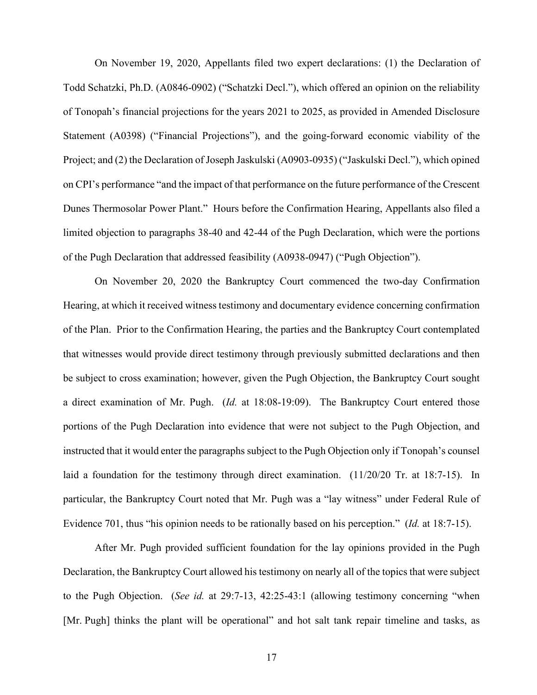On November 19, 2020, Appellants filed two expert declarations: (1) the Declaration of Todd Schatzki, Ph.D. (A0846-0902) ("Schatzki Decl."), which offered an opinion on the reliability of Tonopah's financial projections for the years 2021 to 2025, as provided in Amended Disclosure Statement (A0398) ("Financial Projections"), and the going-forward economic viability of the Project; and (2) the Declaration of Joseph Jaskulski (A0903-0935) ("Jaskulski Decl."), which opined on CPI's performance "and the impact of that performance on the future performance of the Crescent Dunes Thermosolar Power Plant." Hours before the Confirmation Hearing, Appellants also filed a limited objection to paragraphs 38-40 and 42-44 of the Pugh Declaration, which were the portions of the Pugh Declaration that addressed feasibility (A0938-0947) ("Pugh Objection").

On November 20, 2020 the Bankruptcy Court commenced the two-day Confirmation Hearing, at which it received witness testimony and documentary evidence concerning confirmation of the Plan. Prior to the Confirmation Hearing, the parties and the Bankruptcy Court contemplated that witnesses would provide direct testimony through previously submitted declarations and then be subject to cross examination; however, given the Pugh Objection, the Bankruptcy Court sought a direct examination of Mr. Pugh. (*Id.* at 18:08-19:09). The Bankruptcy Court entered those portions of the Pugh Declaration into evidence that were not subject to the Pugh Objection, and instructed that it would enter the paragraphs subject to the Pugh Objection only if Tonopah's counsel laid a foundation for the testimony through direct examination. (11/20/20 Tr. at 18:7-15). In particular, the Bankruptcy Court noted that Mr. Pugh was a "lay witness" under Federal Rule of Evidence 701, thus "his opinion needs to be rationally based on his perception." (*Id.* at 18:7-15).

After Mr. Pugh provided sufficient foundation for the lay opinions provided in the Pugh Declaration, the Bankruptcy Court allowed his testimony on nearly all of the topics that were subject to the Pugh Objection. (*See id.* at 29:7-13, 42:25-43:1 (allowing testimony concerning "when [Mr. Pugh] thinks the plant will be operational" and hot salt tank repair timeline and tasks, as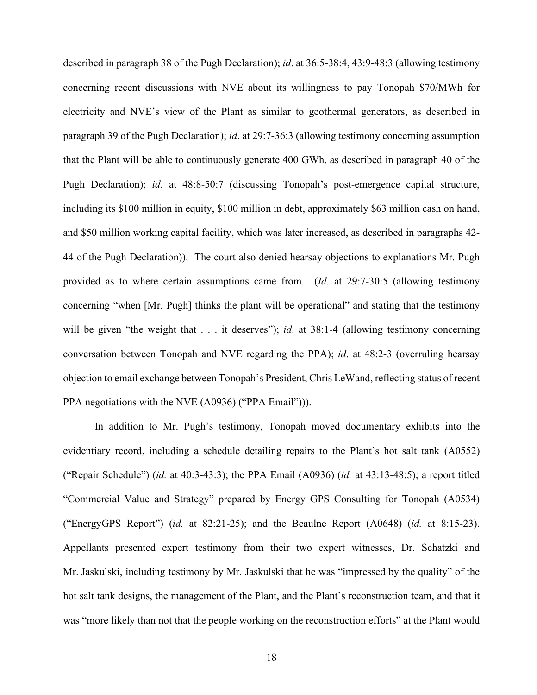described in paragraph 38 of the Pugh Declaration); *id*. at 36:5-38:4, 43:9-48:3 (allowing testimony concerning recent discussions with NVE about its willingness to pay Tonopah \$70/MWh for electricity and NVE's view of the Plant as similar to geothermal generators, as described in paragraph 39 of the Pugh Declaration); *id*. at 29:7-36:3 (allowing testimony concerning assumption that the Plant will be able to continuously generate 400 GWh, as described in paragraph 40 of the Pugh Declaration); *id*. at 48:8-50:7 (discussing Tonopah's post-emergence capital structure, including its \$100 million in equity, \$100 million in debt, approximately \$63 million cash on hand, and \$50 million working capital facility, which was later increased, as described in paragraphs 42- 44 of the Pugh Declaration)). The court also denied hearsay objections to explanations Mr. Pugh provided as to where certain assumptions came from. (*Id.* at 29:7-30:5 (allowing testimony concerning "when [Mr. Pugh] thinks the plant will be operational" and stating that the testimony will be given "the weight that . . . it deserves"); *id*. at 38:1-4 (allowing testimony concerning conversation between Tonopah and NVE regarding the PPA); *id*. at 48:2-3 (overruling hearsay objection to email exchange between Tonopah's President, Chris LeWand, reflecting status of recent PPA negotiations with the NVE (A0936) ("PPA Email"))).

In addition to Mr. Pugh's testimony, Tonopah moved documentary exhibits into the evidentiary record, including a schedule detailing repairs to the Plant's hot salt tank (A0552) ("Repair Schedule") (*id.* at 40:3-43:3); the PPA Email (A0936) (*id.* at 43:13-48:5); a report titled "Commercial Value and Strategy" prepared by Energy GPS Consulting for Tonopah (A0534) ("EnergyGPS Report") (*id.* at 82:21-25); and the Beaulne Report (A0648) (*id.* at 8:15-23). Appellants presented expert testimony from their two expert witnesses, Dr. Schatzki and Mr. Jaskulski, including testimony by Mr. Jaskulski that he was "impressed by the quality" of the hot salt tank designs, the management of the Plant, and the Plant's reconstruction team, and that it was "more likely than not that the people working on the reconstruction efforts" at the Plant would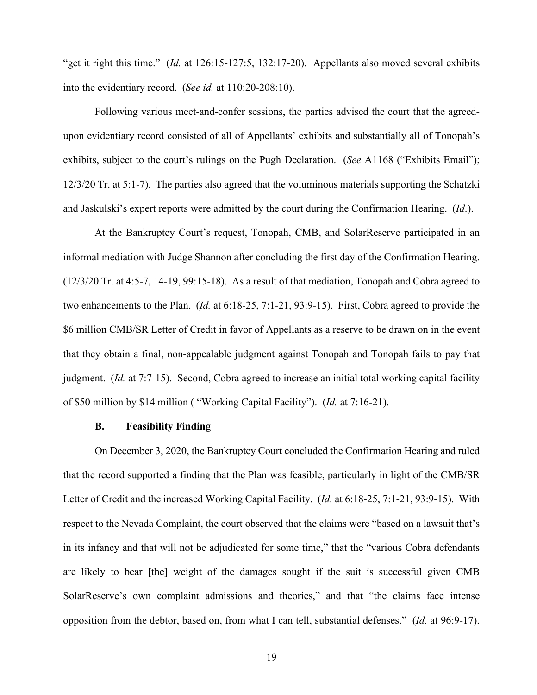"get it right this time." (*Id.* at 126:15-127:5, 132:17-20). Appellants also moved several exhibits into the evidentiary record. (*See id.* at 110:20-208:10).

Following various meet-and-confer sessions, the parties advised the court that the agreedupon evidentiary record consisted of all of Appellants' exhibits and substantially all of Tonopah's exhibits, subject to the court's rulings on the Pugh Declaration. (*See* A1168 ("Exhibits Email"); 12/3/20 Tr. at 5:1-7). The parties also agreed that the voluminous materials supporting the Schatzki and Jaskulski's expert reports were admitted by the court during the Confirmation Hearing. (*Id*.).

At the Bankruptcy Court's request, Tonopah, CMB, and SolarReserve participated in an informal mediation with Judge Shannon after concluding the first day of the Confirmation Hearing. (12/3/20 Tr. at 4:5-7, 14-19, 99:15-18). As a result of that mediation, Tonopah and Cobra agreed to two enhancements to the Plan. (*Id.* at 6:18-25, 7:1-21, 93:9-15). First, Cobra agreed to provide the \$6 million CMB/SR Letter of Credit in favor of Appellants as a reserve to be drawn on in the event that they obtain a final, non-appealable judgment against Tonopah and Tonopah fails to pay that judgment. (*Id.* at 7:7-15). Second, Cobra agreed to increase an initial total working capital facility of \$50 million by \$14 million ( "Working Capital Facility"). (*Id.* at 7:16-21).

#### **B. Feasibility Finding**

On December 3, 2020, the Bankruptcy Court concluded the Confirmation Hearing and ruled that the record supported a finding that the Plan was feasible, particularly in light of the CMB/SR Letter of Credit and the increased Working Capital Facility. (*Id.* at 6:18-25, 7:1-21, 93:9-15). With respect to the Nevada Complaint, the court observed that the claims were "based on a lawsuit that's in its infancy and that will not be adjudicated for some time," that the "various Cobra defendants are likely to bear [the] weight of the damages sought if the suit is successful given CMB SolarReserve's own complaint admissions and theories," and that "the claims face intense opposition from the debtor, based on, from what I can tell, substantial defenses." (*Id.* at 96:9-17).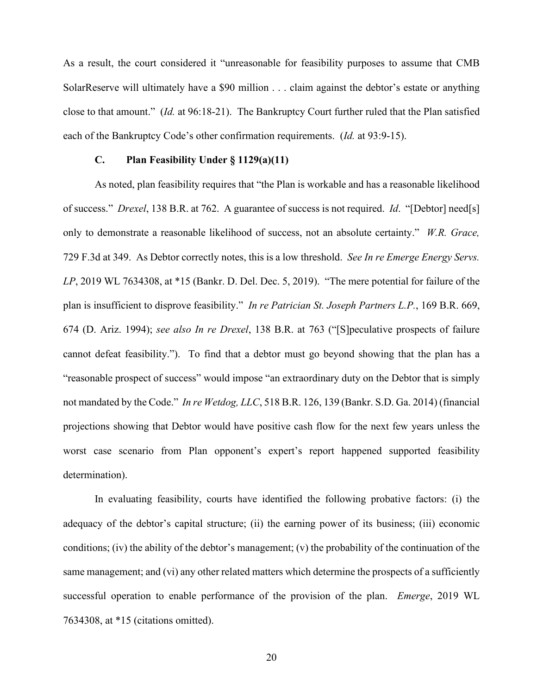As a result, the court considered it "unreasonable for feasibility purposes to assume that CMB SolarReserve will ultimately have a \$90 million . . . claim against the debtor's estate or anything close to that amount." (*Id.* at 96:18-21). The Bankruptcy Court further ruled that the Plan satisfied each of the Bankruptcy Code's other confirmation requirements. (*Id.* at 93:9-15).

#### **C. Plan Feasibility Under § 1129(a)(11)**

As noted, plan feasibility requires that "the Plan is workable and has a reasonable likelihood of success." *Drexel*, 138 B.R. at 762. A guarantee of success is not required. *Id*. "[Debtor] need[s] only to demonstrate a reasonable likelihood of success, not an absolute certainty." *W.R. Grace,*  729 F.3d at 349. As Debtor correctly notes, this is a low threshold. *See In re Emerge Energy Servs. LP*, 2019 WL 7634308, at \*15 (Bankr. D. Del. Dec. 5, 2019). "The mere potential for failure of the plan is insufficient to disprove feasibility." *In re Patrician St. Joseph Partners L.P.*, 169 B.R. 669, 674 (D. Ariz. 1994); *see also In re Drexel*, 138 B.R. at 763 ("[S]peculative prospects of failure cannot defeat feasibility."). To find that a debtor must go beyond showing that the plan has a "reasonable prospect of success" would impose "an extraordinary duty on the Debtor that is simply not mandated by the Code." *In re Wetdog, LLC*, 518 B.R. 126, 139 (Bankr. S.D. Ga. 2014) (financial projections showing that Debtor would have positive cash flow for the next few years unless the worst case scenario from Plan opponent's expert's report happened supported feasibility determination).

In evaluating feasibility, courts have identified the following probative factors: (i) the adequacy of the debtor's capital structure; (ii) the earning power of its business; (iii) economic conditions; (iv) the ability of the debtor's management; (v) the probability of the continuation of the same management; and (vi) any other related matters which determine the prospects of a sufficiently successful operation to enable performance of the provision of the plan. *Emerge*, 2019 WL 7634308, at \*15 (citations omitted).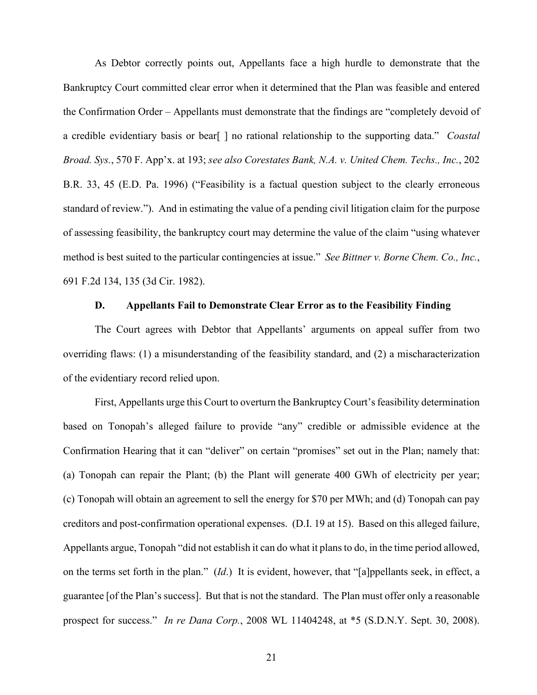As Debtor correctly points out, Appellants face a high hurdle to demonstrate that the Bankruptcy Court committed clear error when it determined that the Plan was feasible and entered the Confirmation Order – Appellants must demonstrate that the findings are "completely devoid of a credible evidentiary basis or bear[ ] no rational relationship to the supporting data." *Coastal Broad. Sys.*, 570 F. App'x. at 193; *see also Corestates Bank, N.A. v. United Chem. Techs., Inc.*, 202 B.R. 33, 45 (E.D. Pa. 1996) ("Feasibility is a factual question subject to the clearly erroneous standard of review."). And in estimating the value of a pending civil litigation claim for the purpose of assessing feasibility, the bankruptcy court may determine the value of the claim "using whatever method is best suited to the particular contingencies at issue." *See Bittner v. Borne Chem. Co., Inc.*, 691 F.2d 134, 135 (3d Cir. 1982).

### **D. Appellants Fail to Demonstrate Clear Error as to the Feasibility Finding**

The Court agrees with Debtor that Appellants' arguments on appeal suffer from two overriding flaws: (1) a misunderstanding of the feasibility standard, and (2) a mischaracterization of the evidentiary record relied upon.

First, Appellants urge this Court to overturn the Bankruptcy Court's feasibility determination based on Tonopah's alleged failure to provide "any" credible or admissible evidence at the Confirmation Hearing that it can "deliver" on certain "promises" set out in the Plan; namely that: (a) Tonopah can repair the Plant; (b) the Plant will generate 400 GWh of electricity per year; (c) Tonopah will obtain an agreement to sell the energy for \$70 per MWh; and (d) Tonopah can pay creditors and post-confirmation operational expenses. (D.I. 19 at 15). Based on this alleged failure, Appellants argue, Tonopah "did not establish it can do what it plans to do, in the time period allowed, on the terms set forth in the plan." (*Id*.) It is evident, however, that "[a]ppellants seek, in effect, a guarantee [of the Plan's success]. But that is not the standard. The Plan must offer only a reasonable prospect for success." *In re Dana Corp.*, 2008 WL 11404248, at \*5 (S.D.N.Y. Sept. 30, 2008).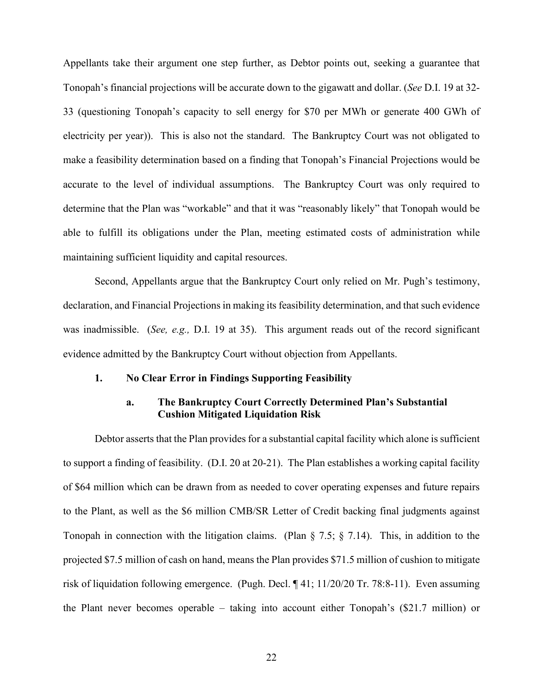Appellants take their argument one step further, as Debtor points out, seeking a guarantee that Tonopah's financial projections will be accurate down to the gigawatt and dollar. (*See* D.I. 19 at 32- 33 (questioning Tonopah's capacity to sell energy for \$70 per MWh or generate 400 GWh of electricity per year)). This is also not the standard. The Bankruptcy Court was not obligated to make a feasibility determination based on a finding that Tonopah's Financial Projections would be accurate to the level of individual assumptions. The Bankruptcy Court was only required to determine that the Plan was "workable" and that it was "reasonably likely" that Tonopah would be able to fulfill its obligations under the Plan, meeting estimated costs of administration while maintaining sufficient liquidity and capital resources.

Second, Appellants argue that the Bankruptcy Court only relied on Mr. Pugh's testimony, declaration, and Financial Projections in making its feasibility determination, and that such evidence was inadmissible. (*See, e.g.,* D.I. 19 at 35). This argument reads out of the record significant evidence admitted by the Bankruptcy Court without objection from Appellants.

#### **1. No Clear Error in Findings Supporting Feasibility**

## **a. The Bankruptcy Court Correctly Determined Plan's Substantial Cushion Mitigated Liquidation Risk**

Debtor asserts that the Plan provides for a substantial capital facility which alone is sufficient to support a finding of feasibility. (D.I. 20 at 20-21). The Plan establishes a working capital facility of \$64 million which can be drawn from as needed to cover operating expenses and future repairs to the Plant, as well as the \$6 million CMB/SR Letter of Credit backing final judgments against Tonopah in connection with the litigation claims. (Plan § 7.5; § 7.14). This, in addition to the projected \$7.5 million of cash on hand, means the Plan provides \$71.5 million of cushion to mitigate risk of liquidation following emergence. (Pugh. Decl. ¶ 41; 11/20/20 Tr. 78:8-11). Even assuming the Plant never becomes operable – taking into account either Tonopah's (\$21.7 million) or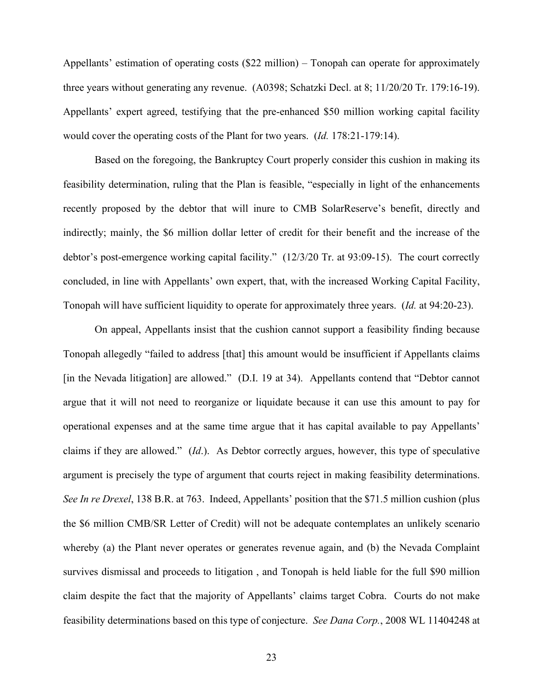Appellants' estimation of operating costs (\$22 million) – Tonopah can operate for approximately three years without generating any revenue. (A0398; Schatzki Decl. at 8; 11/20/20 Tr. 179:16-19). Appellants' expert agreed, testifying that the pre-enhanced \$50 million working capital facility would cover the operating costs of the Plant for two years. (*Id.* 178:21-179:14).

Based on the foregoing, the Bankruptcy Court properly consider this cushion in making its feasibility determination, ruling that the Plan is feasible, "especially in light of the enhancements recently proposed by the debtor that will inure to CMB SolarReserve's benefit, directly and indirectly; mainly, the \$6 million dollar letter of credit for their benefit and the increase of the debtor's post-emergence working capital facility." (12/3/20 Tr. at 93:09-15). The court correctly concluded, in line with Appellants' own expert, that, with the increased Working Capital Facility, Tonopah will have sufficient liquidity to operate for approximately three years. (*Id.* at 94:20-23).

On appeal, Appellants insist that the cushion cannot support a feasibility finding because Tonopah allegedly "failed to address [that] this amount would be insufficient if Appellants claims [in the Nevada litigation] are allowed." (D.I. 19 at 34). Appellants contend that "Debtor cannot" argue that it will not need to reorganize or liquidate because it can use this amount to pay for operational expenses and at the same time argue that it has capital available to pay Appellants' claims if they are allowed." (*Id*.). As Debtor correctly argues, however, this type of speculative argument is precisely the type of argument that courts reject in making feasibility determinations. *See In re Drexel*, 138 B.R. at 763. Indeed, Appellants' position that the \$71.5 million cushion (plus the \$6 million CMB/SR Letter of Credit) will not be adequate contemplates an unlikely scenario whereby (a) the Plant never operates or generates revenue again, and (b) the Nevada Complaint survives dismissal and proceeds to litigation , and Tonopah is held liable for the full \$90 million claim despite the fact that the majority of Appellants' claims target Cobra. Courts do not make feasibility determinations based on this type of conjecture. *See Dana Corp.*, 2008 WL 11404248 at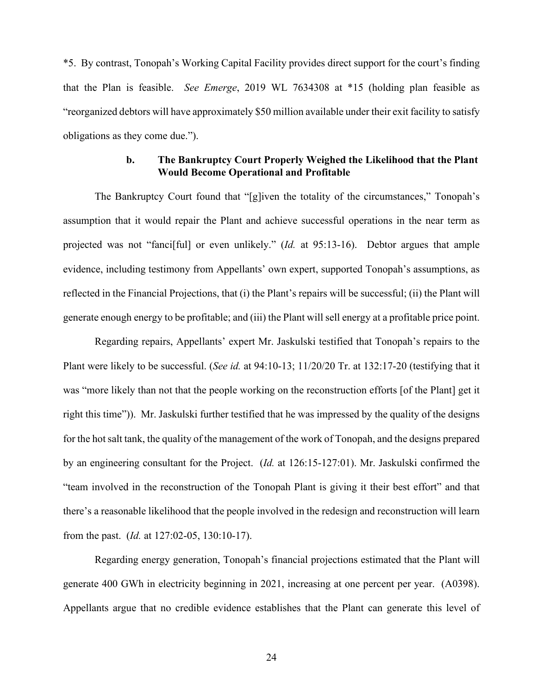\*5. By contrast, Tonopah's Working Capital Facility provides direct support for the court's finding that the Plan is feasible. *See Emerge*, 2019 WL 7634308 at \*15 (holding plan feasible as "reorganized debtors will have approximately \$50 million available under their exit facility to satisfy obligations as they come due.").

## **b. The Bankruptcy Court Properly Weighed the Likelihood that the Plant Would Become Operational and Profitable**

The Bankruptcy Court found that "[g]iven the totality of the circumstances," Tonopah's assumption that it would repair the Plant and achieve successful operations in the near term as projected was not "fanci[ful] or even unlikely." (*Id.* at 95:13-16). Debtor argues that ample evidence, including testimony from Appellants' own expert, supported Tonopah's assumptions, as reflected in the Financial Projections, that (i) the Plant's repairs will be successful; (ii) the Plant will generate enough energy to be profitable; and (iii) the Plant will sell energy at a profitable price point.

Regarding repairs, Appellants' expert Mr. Jaskulski testified that Tonopah's repairs to the Plant were likely to be successful. (*See id.* at 94:10-13; 11/20/20 Tr. at 132:17-20 (testifying that it was "more likely than not that the people working on the reconstruction efforts [of the Plant] get it right this time")). Mr. Jaskulski further testified that he was impressed by the quality of the designs for the hot salt tank, the quality of the management of the work of Tonopah, and the designs prepared by an engineering consultant for the Project. (*Id.* at 126:15-127:01). Mr. Jaskulski confirmed the "team involved in the reconstruction of the Tonopah Plant is giving it their best effort" and that there's a reasonable likelihood that the people involved in the redesign and reconstruction will learn from the past. (*Id.* at 127:02-05, 130:10-17).

Regarding energy generation, Tonopah's financial projections estimated that the Plant will generate 400 GWh in electricity beginning in 2021, increasing at one percent per year. (A0398). Appellants argue that no credible evidence establishes that the Plant can generate this level of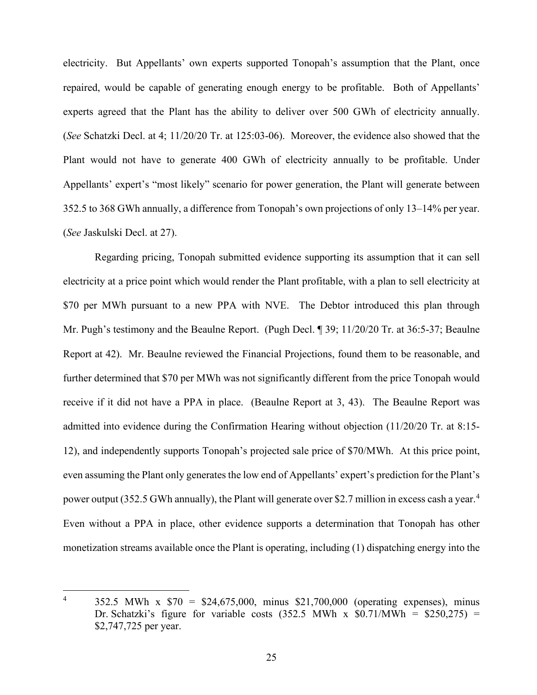electricity. But Appellants' own experts supported Tonopah's assumption that the Plant, once repaired, would be capable of generating enough energy to be profitable. Both of Appellants' experts agreed that the Plant has the ability to deliver over 500 GWh of electricity annually. (*See* Schatzki Decl. at 4; 11/20/20 Tr. at 125:03-06). Moreover, the evidence also showed that the Plant would not have to generate 400 GWh of electricity annually to be profitable. Under Appellants' expert's "most likely" scenario for power generation, the Plant will generate between 352.5 to 368 GWh annually, a difference from Tonopah's own projections of only 13–14% per year. (*See* Jaskulski Decl. at 27).

Regarding pricing, Tonopah submitted evidence supporting its assumption that it can sell electricity at a price point which would render the Plant profitable, with a plan to sell electricity at \$70 per MWh pursuant to a new PPA with NVE. The Debtor introduced this plan through Mr. Pugh's testimony and the Beaulne Report. (Pugh Decl. ¶ 39; 11/20/20 Tr. at 36:5-37; Beaulne Report at 42). Mr. Beaulne reviewed the Financial Projections, found them to be reasonable, and further determined that \$70 per MWh was not significantly different from the price Tonopah would receive if it did not have a PPA in place. (Beaulne Report at 3, 43). The Beaulne Report was admitted into evidence during the Confirmation Hearing without objection (11/20/20 Tr. at 8:15- 12), and independently supports Tonopah's projected sale price of \$70/MWh. At this price point, even assuming the Plant only generates the low end of Appellants' expert's prediction for the Plant's power output (352.5 GWh annually), the Plant will generate over \$2.7 million in excess cash a year.<sup>[4](#page-25-0)</sup> Even without a PPA in place, other evidence supports a determination that Tonopah has other monetization streams available once the Plant is operating, including (1) dispatching energy into the

<span id="page-25-0"></span><sup>&</sup>lt;sup>4</sup> 352.5 MWh x  $$70 = $24,675,000$ , minus \$21,700,000 (operating expenses), minus Dr. Schatzki's figure for variable costs  $(352.5 \text{ MWh x } $0.71/\text{MWh} = $250,275)$  = \$2,747,725 per year.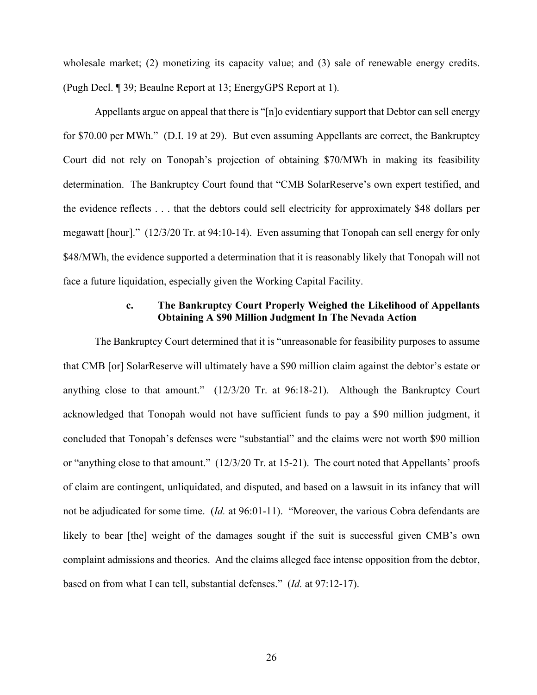wholesale market; (2) monetizing its capacity value; and (3) sale of renewable energy credits. (Pugh Decl. ¶ 39; Beaulne Report at 13; EnergyGPS Report at 1).

Appellants argue on appeal that there is "[n]o evidentiary support that Debtor can sell energy for \$70.00 per MWh." (D.I. 19 at 29). But even assuming Appellants are correct, the Bankruptcy Court did not rely on Tonopah's projection of obtaining \$70/MWh in making its feasibility determination. The Bankruptcy Court found that "CMB SolarReserve's own expert testified, and the evidence reflects . . . that the debtors could sell electricity for approximately \$48 dollars per megawatt [hour]." (12/3/20 Tr. at 94:10-14). Even assuming that Tonopah can sell energy for only \$48/MWh, the evidence supported a determination that it is reasonably likely that Tonopah will not face a future liquidation, especially given the Working Capital Facility.

# **c. The Bankruptcy Court Properly Weighed the Likelihood of Appellants Obtaining A \$90 Million Judgment In The Nevada Action**

The Bankruptcy Court determined that it is "unreasonable for feasibility purposes to assume that CMB [or] SolarReserve will ultimately have a \$90 million claim against the debtor's estate or anything close to that amount." (12/3/20 Tr. at 96:18-21). Although the Bankruptcy Court acknowledged that Tonopah would not have sufficient funds to pay a \$90 million judgment, it concluded that Tonopah's defenses were "substantial" and the claims were not worth \$90 million or "anything close to that amount." (12/3/20 Tr. at 15-21). The court noted that Appellants' proofs of claim are contingent, unliquidated, and disputed, and based on a lawsuit in its infancy that will not be adjudicated for some time. (*Id.* at 96:01-11). "Moreover, the various Cobra defendants are likely to bear [the] weight of the damages sought if the suit is successful given CMB's own complaint admissions and theories. And the claims alleged face intense opposition from the debtor, based on from what I can tell, substantial defenses." (*Id.* at 97:12-17).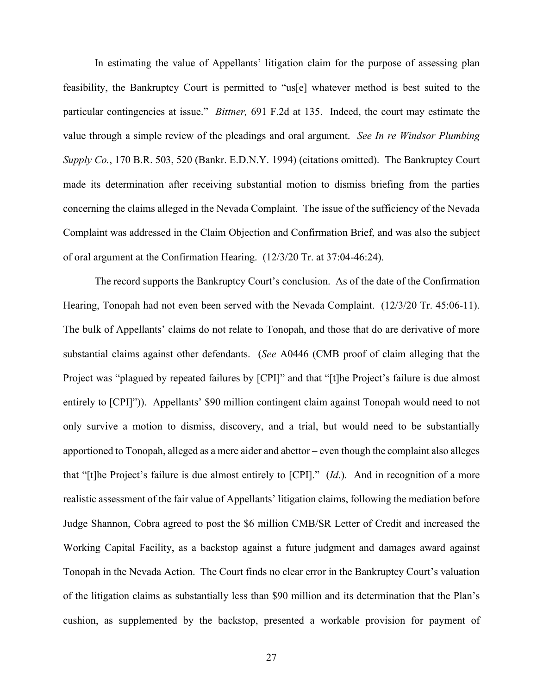In estimating the value of Appellants' litigation claim for the purpose of assessing plan feasibility, the Bankruptcy Court is permitted to "us[e] whatever method is best suited to the particular contingencies at issue." *Bittner,* 691 F.2d at 135. Indeed, the court may estimate the value through a simple review of the pleadings and oral argument. *See In re Windsor Plumbing Supply Co.*, 170 B.R. 503, 520 (Bankr. E.D.N.Y. 1994) (citations omitted). The Bankruptcy Court made its determination after receiving substantial motion to dismiss briefing from the parties concerning the claims alleged in the Nevada Complaint. The issue of the sufficiency of the Nevada Complaint was addressed in the Claim Objection and Confirmation Brief, and was also the subject of oral argument at the Confirmation Hearing. (12/3/20 Tr. at 37:04-46:24).

The record supports the Bankruptcy Court's conclusion. As of the date of the Confirmation Hearing, Tonopah had not even been served with the Nevada Complaint. (12/3/20 Tr. 45:06-11). The bulk of Appellants' claims do not relate to Tonopah, and those that do are derivative of more substantial claims against other defendants. (*See* A0446 (CMB proof of claim alleging that the Project was "plagued by repeated failures by [CPI]" and that "[t]he Project's failure is due almost entirely to [CPI]")). Appellants' \$90 million contingent claim against Tonopah would need to not only survive a motion to dismiss, discovery, and a trial, but would need to be substantially apportioned to Tonopah, alleged as a mere aider and abettor – even though the complaint also alleges that "[t]he Project's failure is due almost entirely to [CPI]." (*Id*.). And in recognition of a more realistic assessment of the fair value of Appellants' litigation claims, following the mediation before Judge Shannon, Cobra agreed to post the \$6 million CMB/SR Letter of Credit and increased the Working Capital Facility, as a backstop against a future judgment and damages award against Tonopah in the Nevada Action. The Court finds no clear error in the Bankruptcy Court's valuation of the litigation claims as substantially less than \$90 million and its determination that the Plan's cushion, as supplemented by the backstop, presented a workable provision for payment of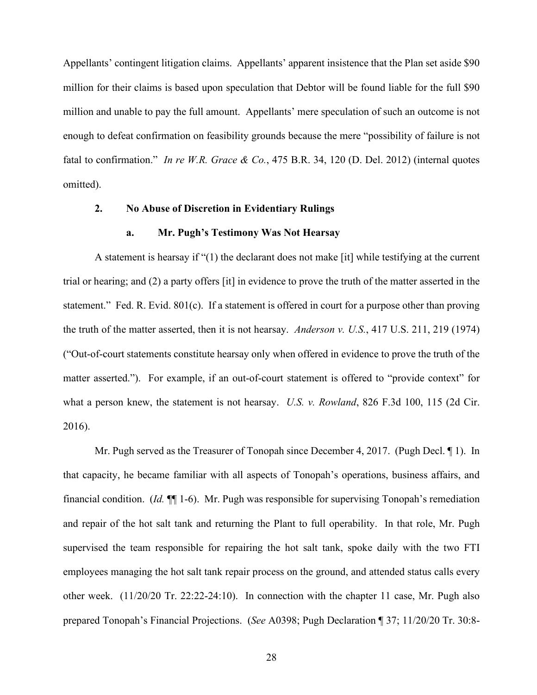Appellants' contingent litigation claims. Appellants' apparent insistence that the Plan set aside \$90 million for their claims is based upon speculation that Debtor will be found liable for the full \$90 million and unable to pay the full amount. Appellants' mere speculation of such an outcome is not enough to defeat confirmation on feasibility grounds because the mere "possibility of failure is not fatal to confirmation." *In re W.R. Grace & Co.*, 475 B.R. 34, 120 (D. Del. 2012) (internal quotes omitted).

#### **2. No Abuse of Discretion in Evidentiary Rulings**

#### **a. Mr. Pugh's Testimony Was Not Hearsay**

A statement is hearsay if "(1) the declarant does not make [it] while testifying at the current trial or hearing; and (2) a party offers [it] in evidence to prove the truth of the matter asserted in the statement." Fed. R. Evid. 801(c). If a statement is offered in court for a purpose other than proving the truth of the matter asserted, then it is not hearsay. *Anderson v. U.S.*, 417 U.S. 211, 219 (1974) ("Out-of-court statements constitute hearsay only when offered in evidence to prove the truth of the matter asserted."). For example, if an out-of-court statement is offered to "provide context" for what a person knew, the statement is not hearsay. *U.S. v. Rowland*, 826 F.3d 100, 115 (2d Cir. 2016).

Mr. Pugh served as the Treasurer of Tonopah since December 4, 2017. (Pugh Decl. ¶ 1). In that capacity, he became familiar with all aspects of Tonopah's operations, business affairs, and financial condition. (*Id.* ¶¶ 1-6). Mr. Pugh was responsible for supervising Tonopah's remediation and repair of the hot salt tank and returning the Plant to full operability. In that role, Mr. Pugh supervised the team responsible for repairing the hot salt tank, spoke daily with the two FTI employees managing the hot salt tank repair process on the ground, and attended status calls every other week. (11/20/20 Tr. 22:22-24:10). In connection with the chapter 11 case, Mr. Pugh also prepared Tonopah's Financial Projections. (*See* A0398; Pugh Declaration ¶ 37; 11/20/20 Tr. 30:8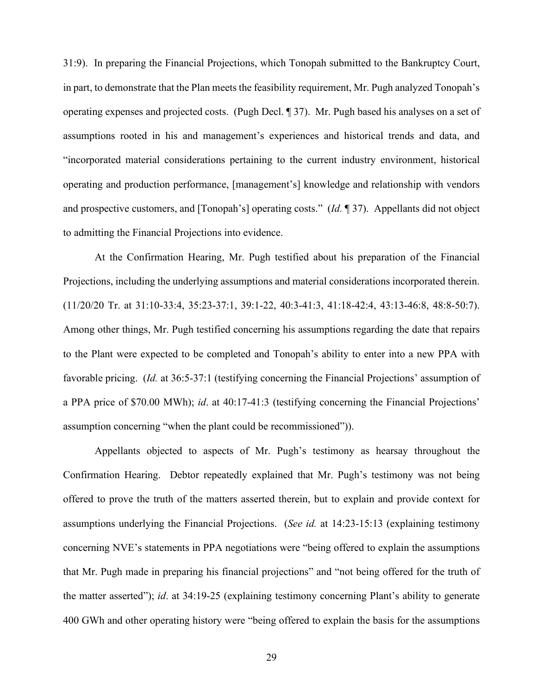31:9). In preparing the Financial Projections, which Tonopah submitted to the Bankruptcy Court, in part, to demonstrate that the Plan meets the feasibility requirement, Mr. Pugh analyzed Tonopah's operating expenses and projected costs. (Pugh Decl. ¶ 37). Mr. Pugh based his analyses on a set of assumptions rooted in his and management's experiences and historical trends and data, and "incorporated material considerations pertaining to the current industry environment, historical operating and production performance, [management's] knowledge and relationship with vendors and prospective customers, and [Tonopah's] operating costs." (*Id.* ¶ 37). Appellants did not object to admitting the Financial Projections into evidence.

At the Confirmation Hearing, Mr. Pugh testified about his preparation of the Financial Projections, including the underlying assumptions and material considerations incorporated therein. (11/20/20 Tr. at 31:10-33:4, 35:23-37:1, 39:1-22, 40:3-41:3, 41:18-42:4, 43:13-46:8, 48:8-50:7). Among other things, Mr. Pugh testified concerning his assumptions regarding the date that repairs to the Plant were expected to be completed and Tonopah's ability to enter into a new PPA with favorable pricing. (*Id.* at 36:5-37:1 (testifying concerning the Financial Projections' assumption of a PPA price of \$70.00 MWh); *id*. at 40:17-41:3 (testifying concerning the Financial Projections' assumption concerning "when the plant could be recommissioned")).

Appellants objected to aspects of Mr. Pugh's testimony as hearsay throughout the Confirmation Hearing. Debtor repeatedly explained that Mr. Pugh's testimony was not being offered to prove the truth of the matters asserted therein, but to explain and provide context for assumptions underlying the Financial Projections. (*See id.* at 14:23-15:13 (explaining testimony concerning NVE's statements in PPA negotiations were "being offered to explain the assumptions that Mr. Pugh made in preparing his financial projections" and "not being offered for the truth of the matter asserted"); *id*. at 34:19-25 (explaining testimony concerning Plant's ability to generate 400 GWh and other operating history were "being offered to explain the basis for the assumptions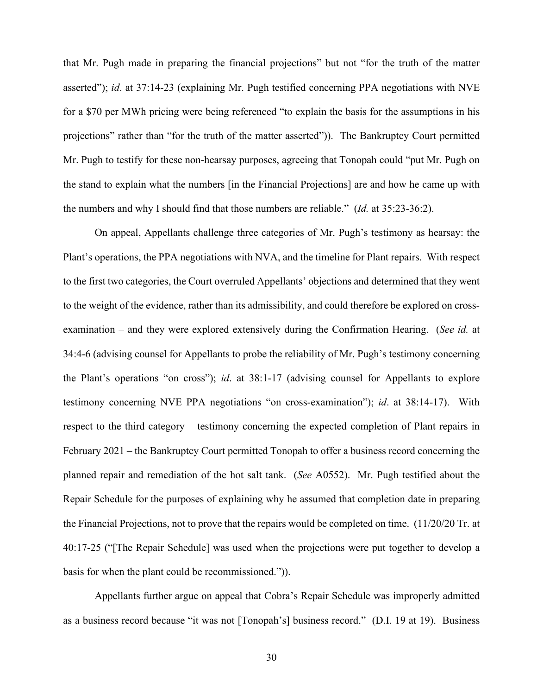that Mr. Pugh made in preparing the financial projections" but not "for the truth of the matter asserted"); *id*. at 37:14-23 (explaining Mr. Pugh testified concerning PPA negotiations with NVE for a \$70 per MWh pricing were being referenced "to explain the basis for the assumptions in his projections" rather than "for the truth of the matter asserted")). The Bankruptcy Court permitted Mr. Pugh to testify for these non-hearsay purposes, agreeing that Tonopah could "put Mr. Pugh on the stand to explain what the numbers [in the Financial Projections] are and how he came up with the numbers and why I should find that those numbers are reliable." (*Id.* at 35:23-36:2).

On appeal, Appellants challenge three categories of Mr. Pugh's testimony as hearsay: the Plant's operations, the PPA negotiations with NVA, and the timeline for Plant repairs. With respect to the first two categories, the Court overruled Appellants' objections and determined that they went to the weight of the evidence, rather than its admissibility, and could therefore be explored on crossexamination – and they were explored extensively during the Confirmation Hearing. (*See id.* at 34:4-6 (advising counsel for Appellants to probe the reliability of Mr. Pugh's testimony concerning the Plant's operations "on cross"); *id*. at 38:1-17 (advising counsel for Appellants to explore testimony concerning NVE PPA negotiations "on cross-examination"); *id*. at 38:14-17). With respect to the third category – testimony concerning the expected completion of Plant repairs in February 2021 – the Bankruptcy Court permitted Tonopah to offer a business record concerning the planned repair and remediation of the hot salt tank. (*See* A0552). Mr. Pugh testified about the Repair Schedule for the purposes of explaining why he assumed that completion date in preparing the Financial Projections, not to prove that the repairs would be completed on time. (11/20/20 Tr. at 40:17-25 ("[The Repair Schedule] was used when the projections were put together to develop a basis for when the plant could be recommissioned.")).

Appellants further argue on appeal that Cobra's Repair Schedule was improperly admitted as a business record because "it was not [Tonopah's] business record." (D.I. 19 at 19). Business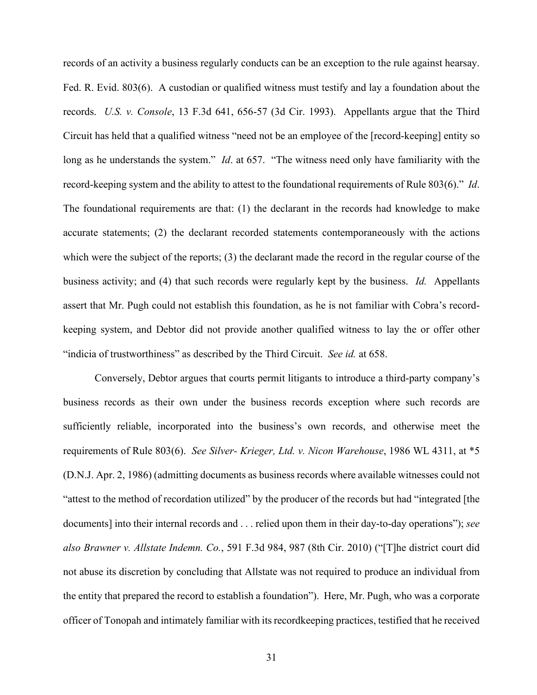records of an activity a business regularly conducts can be an exception to the rule against hearsay. Fed. R. Evid. 803(6). A custodian or qualified witness must testify and lay a foundation about the records. *U.S. v. Console*, 13 F.3d 641, 656-57 (3d Cir. 1993). Appellants argue that the Third Circuit has held that a qualified witness "need not be an employee of the [record-keeping] entity so long as he understands the system." *Id*. at 657. "The witness need only have familiarity with the record-keeping system and the ability to attest to the foundational requirements of Rule 803(6)." *Id*. The foundational requirements are that: (1) the declarant in the records had knowledge to make accurate statements; (2) the declarant recorded statements contemporaneously with the actions which were the subject of the reports; (3) the declarant made the record in the regular course of the business activity; and (4) that such records were regularly kept by the business. *Id.* Appellants assert that Mr. Pugh could not establish this foundation, as he is not familiar with Cobra's recordkeeping system, and Debtor did not provide another qualified witness to lay the or offer other "indicia of trustworthiness" as described by the Third Circuit. *See id.* at 658.

Conversely, Debtor argues that courts permit litigants to introduce a third-party company's business records as their own under the business records exception where such records are sufficiently reliable, incorporated into the business's own records, and otherwise meet the requirements of Rule 803(6). *See Silver- Krieger, Ltd. v. Nicon Warehouse*, 1986 WL 4311, at \*5 (D.N.J. Apr. 2, 1986) (admitting documents as business records where available witnesses could not "attest to the method of recordation utilized" by the producer of the records but had "integrated [the documents] into their internal records and . . . relied upon them in their day-to-day operations"); *see also Brawner v. Allstate Indemn. Co.*, 591 F.3d 984, 987 (8th Cir. 2010) ("[T]he district court did not abuse its discretion by concluding that Allstate was not required to produce an individual from the entity that prepared the record to establish a foundation"). Here, Mr. Pugh, who was a corporate officer of Tonopah and intimately familiar with its recordkeeping practices, testified that he received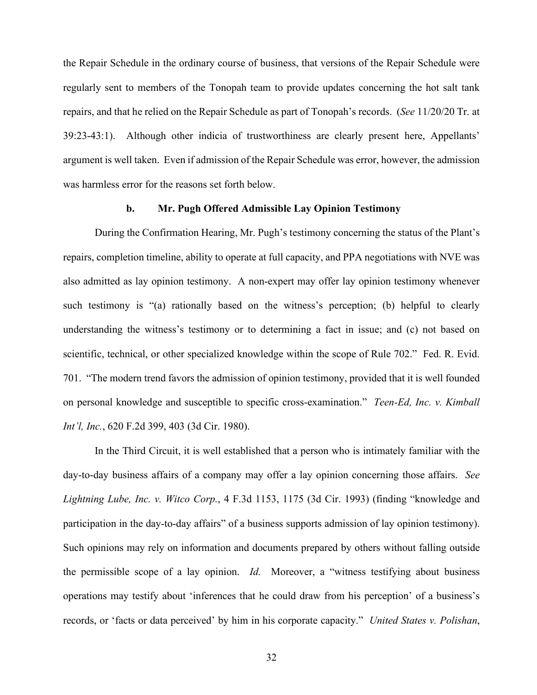the Repair Schedule in the ordinary course of business, that versions of the Repair Schedule were regularly sent to members of the Tonopah team to provide updates concerning the hot salt tank repairs, and that he relied on the Repair Schedule as part of Tonopah's records. (*See* 11/20/20 Tr. at 39:23-43:1). Although other indicia of trustworthiness are clearly present here, Appellants' argument is well taken. Even if admission of the Repair Schedule was error, however, the admission was harmless error for the reasons set forth below.

#### **b. Mr. Pugh Offered Admissible Lay Opinion Testimony**

During the Confirmation Hearing, Mr. Pugh's testimony concerning the status of the Plant's repairs, completion timeline, ability to operate at full capacity, and PPA negotiations with NVE was also admitted as lay opinion testimony. A non-expert may offer lay opinion testimony whenever such testimony is "(a) rationally based on the witness's perception; (b) helpful to clearly understanding the witness's testimony or to determining a fact in issue; and (c) not based on scientific, technical, or other specialized knowledge within the scope of Rule 702." Fed. R. Evid. 701. "The modern trend favors the admission of opinion testimony, provided that it is well founded on personal knowledge and susceptible to specific cross-examination." *Teen-Ed, Inc. v. Kimball Int'l, Inc.*, 620 F.2d 399, 403 (3d Cir. 1980).

In the Third Circuit, it is well established that a person who is intimately familiar with the day-to-day business affairs of a company may offer a lay opinion concerning those affairs. *See Lightning Lube, Inc. v. Witco Corp.*, 4 F.3d 1153, 1175 (3d Cir. 1993) (finding "knowledge and participation in the day-to-day affairs" of a business supports admission of lay opinion testimony). Such opinions may rely on information and documents prepared by others without falling outside the permissible scope of a lay opinion. *Id.* Moreover, a "witness testifying about business operations may testify about 'inferences that he could draw from his perception' of a business's records, or 'facts or data perceived' by him in his corporate capacity." *United States v. Polishan*,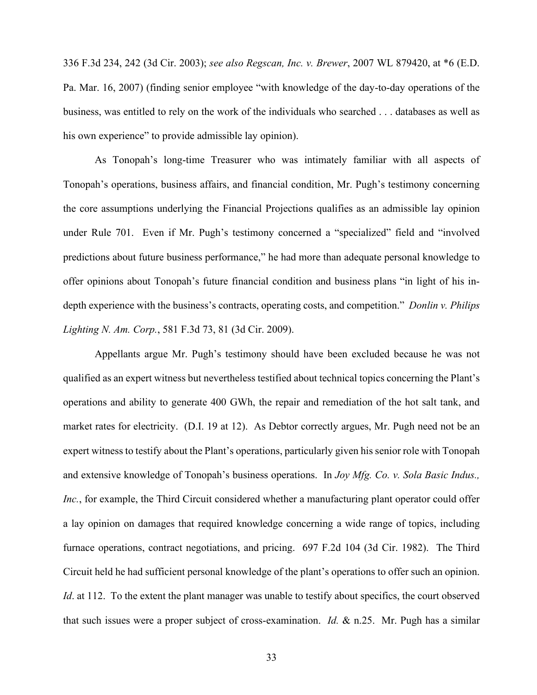336 F.3d 234, 242 (3d Cir. 2003); *see also Regscan, Inc. v. Brewer*, 2007 WL 879420, at \*6 (E.D. Pa. Mar. 16, 2007) (finding senior employee "with knowledge of the day-to-day operations of the business, was entitled to rely on the work of the individuals who searched . . . databases as well as his own experience" to provide admissible lay opinion).

As Tonopah's long-time Treasurer who was intimately familiar with all aspects of Tonopah's operations, business affairs, and financial condition, Mr. Pugh's testimony concerning the core assumptions underlying the Financial Projections qualifies as an admissible lay opinion under Rule 701. Even if Mr. Pugh's testimony concerned a "specialized" field and "involved predictions about future business performance," he had more than adequate personal knowledge to offer opinions about Tonopah's future financial condition and business plans "in light of his indepth experience with the business's contracts, operating costs, and competition." *Donlin v. Philips Lighting N. Am. Corp.*, 581 F.3d 73, 81 (3d Cir. 2009).

Appellants argue Mr. Pugh's testimony should have been excluded because he was not qualified as an expert witness but nevertheless testified about technical topics concerning the Plant's operations and ability to generate 400 GWh, the repair and remediation of the hot salt tank, and market rates for electricity. (D.I. 19 at 12). As Debtor correctly argues, Mr. Pugh need not be an expert witness to testify about the Plant's operations, particularly given his senior role with Tonopah and extensive knowledge of Tonopah's business operations. In *Joy Mfg. Co. v. Sola Basic Indus., Inc.*, for example, the Third Circuit considered whether a manufacturing plant operator could offer a lay opinion on damages that required knowledge concerning a wide range of topics, including furnace operations, contract negotiations, and pricing. 697 F.2d 104 (3d Cir. 1982). The Third Circuit held he had sufficient personal knowledge of the plant's operations to offer such an opinion. *Id*. at 112. To the extent the plant manager was unable to testify about specifics, the court observed that such issues were a proper subject of cross-examination. *Id.* & n.25. Mr. Pugh has a similar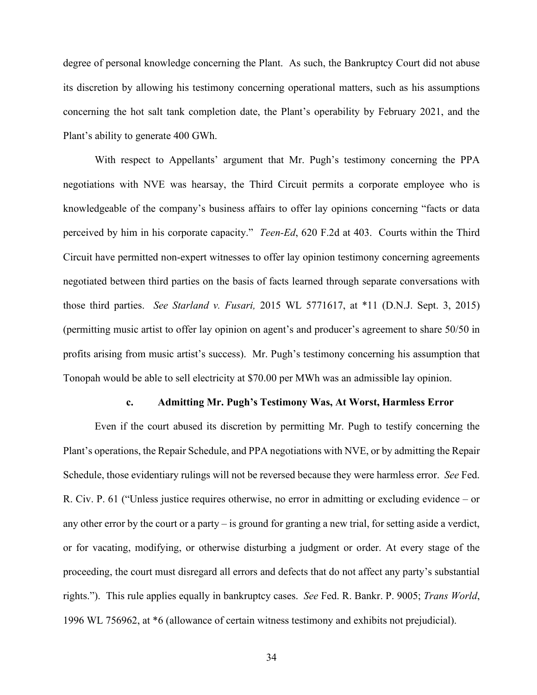degree of personal knowledge concerning the Plant. As such, the Bankruptcy Court did not abuse its discretion by allowing his testimony concerning operational matters, such as his assumptions concerning the hot salt tank completion date, the Plant's operability by February 2021, and the Plant's ability to generate 400 GWh.

With respect to Appellants' argument that Mr. Pugh's testimony concerning the PPA negotiations with NVE was hearsay, the Third Circuit permits a corporate employee who is knowledgeable of the company's business affairs to offer lay opinions concerning "facts or data perceived by him in his corporate capacity." *Teen-Ed*, 620 F.2d at 403. Courts within the Third Circuit have permitted non-expert witnesses to offer lay opinion testimony concerning agreements negotiated between third parties on the basis of facts learned through separate conversations with those third parties. *See Starland v. Fusari,* 2015 WL 5771617, at \*11 (D.N.J. Sept. 3, 2015) (permitting music artist to offer lay opinion on agent's and producer's agreement to share 50/50 in profits arising from music artist's success). Mr. Pugh's testimony concerning his assumption that Tonopah would be able to sell electricity at \$70.00 per MWh was an admissible lay opinion.

#### **c. Admitting Mr. Pugh's Testimony Was, At Worst, Harmless Error**

Even if the court abused its discretion by permitting Mr. Pugh to testify concerning the Plant's operations, the Repair Schedule, and PPA negotiations with NVE, or by admitting the Repair Schedule, those evidentiary rulings will not be reversed because they were harmless error. *See* Fed. R. Civ. P. 61 ("Unless justice requires otherwise, no error in admitting or excluding evidence – or any other error by the court or a party – is ground for granting a new trial, for setting aside a verdict, or for vacating, modifying, or otherwise disturbing a judgment or order. At every stage of the proceeding, the court must disregard all errors and defects that do not affect any party's substantial rights."). This rule applies equally in bankruptcy cases. *See* Fed. R. Bankr. P. 9005; *Trans World*, 1996 WL 756962, at \*6 (allowance of certain witness testimony and exhibits not prejudicial).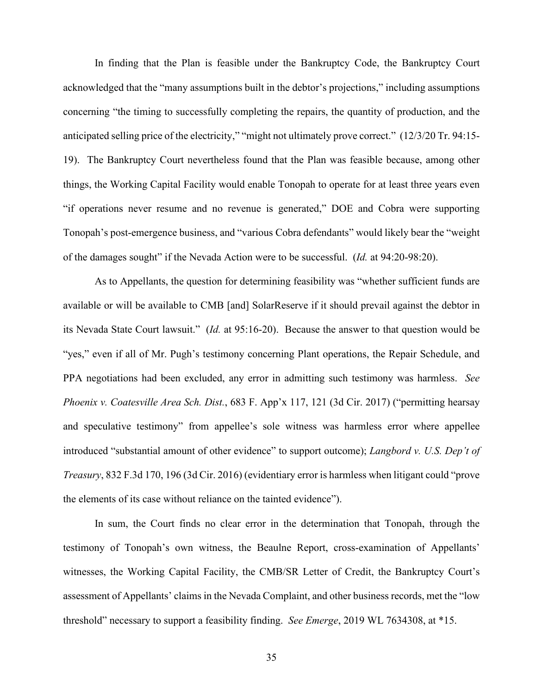In finding that the Plan is feasible under the Bankruptcy Code, the Bankruptcy Court acknowledged that the "many assumptions built in the debtor's projections," including assumptions concerning "the timing to successfully completing the repairs, the quantity of production, and the anticipated selling price of the electricity," "might not ultimately prove correct." (12/3/20 Tr. 94:15- 19). The Bankruptcy Court nevertheless found that the Plan was feasible because, among other things, the Working Capital Facility would enable Tonopah to operate for at least three years even "if operations never resume and no revenue is generated," DOE and Cobra were supporting Tonopah's post-emergence business, and "various Cobra defendants" would likely bear the "weight of the damages sought" if the Nevada Action were to be successful. (*Id.* at 94:20-98:20).

As to Appellants, the question for determining feasibility was "whether sufficient funds are available or will be available to CMB [and] SolarReserve if it should prevail against the debtor in its Nevada State Court lawsuit." (*Id.* at 95:16-20). Because the answer to that question would be "yes," even if all of Mr. Pugh's testimony concerning Plant operations, the Repair Schedule, and PPA negotiations had been excluded, any error in admitting such testimony was harmless. *See Phoenix v. Coatesville Area Sch. Dist.*, 683 F. App'x 117, 121 (3d Cir. 2017) ("permitting hearsay and speculative testimony" from appellee's sole witness was harmless error where appellee introduced "substantial amount of other evidence" to support outcome); *Langbord v. U.S. Dep't of Treasury*, 832 F.3d 170, 196 (3d Cir. 2016) (evidentiary error is harmless when litigant could "prove the elements of its case without reliance on the tainted evidence").

In sum, the Court finds no clear error in the determination that Tonopah, through the testimony of Tonopah's own witness, the Beaulne Report, cross-examination of Appellants' witnesses, the Working Capital Facility, the CMB/SR Letter of Credit, the Bankruptcy Court's assessment of Appellants' claims in the Nevada Complaint, and other business records, met the "low threshold" necessary to support a feasibility finding. *See Emerge*, 2019 WL 7634308, at \*15.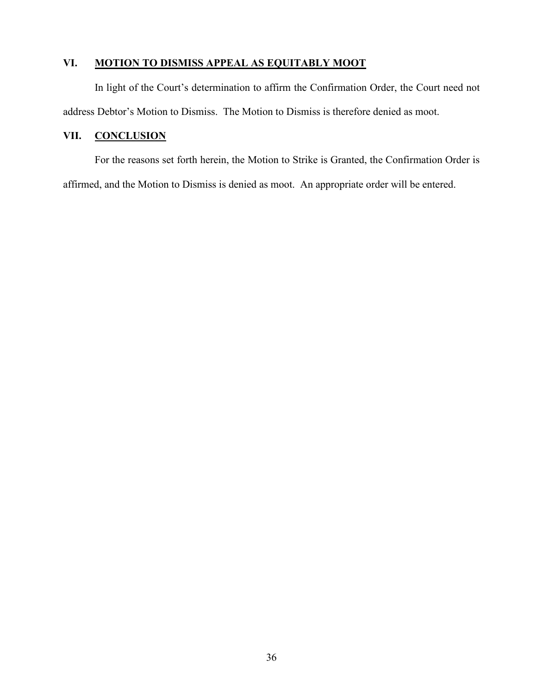# **VI. MOTION TO DISMISS APPEAL AS EQUITABLY MOOT**

In light of the Court's determination to affirm the Confirmation Order, the Court need not address Debtor's Motion to Dismiss. The Motion to Dismiss is therefore denied as moot.

# **VII. CONCLUSION**

For the reasons set forth herein, the Motion to Strike is Granted, the Confirmation Order is affirmed, and the Motion to Dismiss is denied as moot. An appropriate order will be entered.